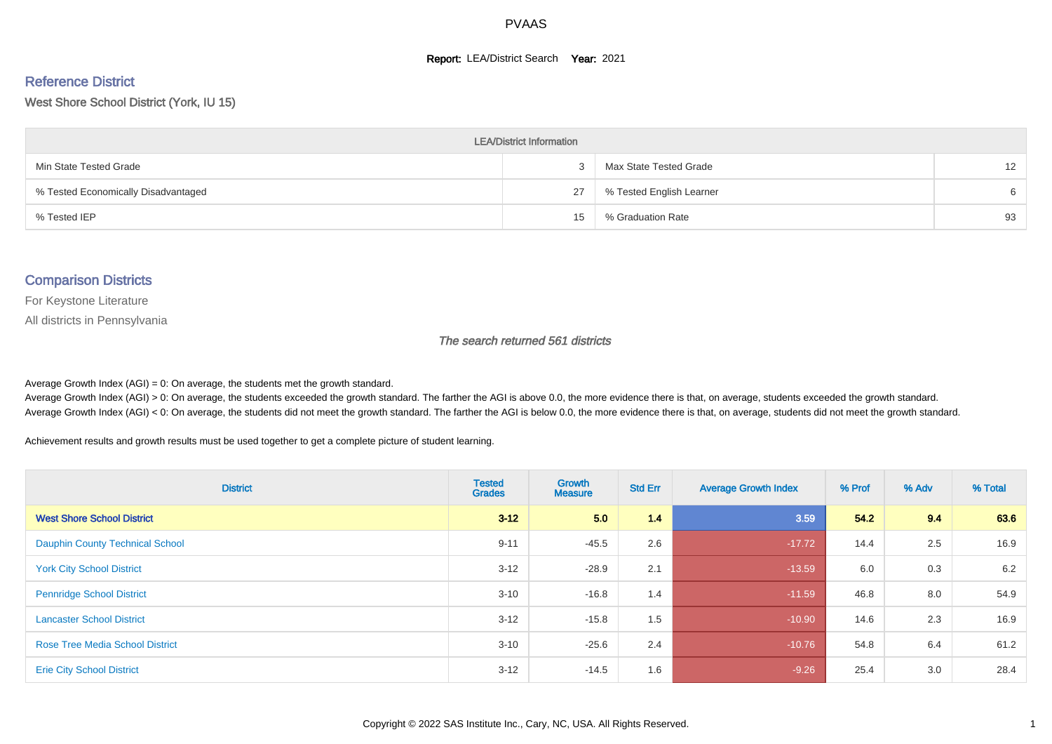#### **Report: LEA/District Search Year: 2021**

#### Reference District

#### West Shore School District (York, IU 15)

| <b>LEA/District Information</b>     |    |                          |    |  |  |  |  |  |  |  |
|-------------------------------------|----|--------------------------|----|--|--|--|--|--|--|--|
| Min State Tested Grade              | -3 | Max State Tested Grade   | 12 |  |  |  |  |  |  |  |
| % Tested Economically Disadvantaged | 27 | % Tested English Learner | 6  |  |  |  |  |  |  |  |
| % Tested IEP                        | 15 | % Graduation Rate        | 93 |  |  |  |  |  |  |  |

#### Comparison Districts

For Keystone Literature

All districts in Pennsylvania

The search returned 561 districts

Average Growth Index  $(AGI) = 0$ : On average, the students met the growth standard.

Average Growth Index (AGI) > 0: On average, the students exceeded the growth standard. The farther the AGI is above 0.0, the more evidence there is that, on average, students exceeded the growth standard. Average Growth Index (AGI) < 0: On average, the students did not meet the growth standard. The farther the AGI is below 0.0, the more evidence there is that, on average, students did not meet the growth standard.

Achievement results and growth results must be used together to get a complete picture of student learning.

| <b>District</b>                        | <b>Tested</b><br><b>Grades</b> | Growth<br><b>Measure</b> | <b>Std Err</b> | <b>Average Growth Index</b> | % Prof | % Adv | % Total |
|----------------------------------------|--------------------------------|--------------------------|----------------|-----------------------------|--------|-------|---------|
| <b>West Shore School District</b>      | $3 - 12$                       | 5.0                      | 1.4            | 3.59                        | 54.2   | 9.4   | 63.6    |
| <b>Dauphin County Technical School</b> | $9 - 11$                       | $-45.5$                  | 2.6            | $-17.72$                    | 14.4   | 2.5   | 16.9    |
| <b>York City School District</b>       | $3 - 12$                       | $-28.9$                  | 2.1            | $-13.59$                    | 6.0    | 0.3   | 6.2     |
| <b>Pennridge School District</b>       | $3 - 10$                       | $-16.8$                  | 1.4            | $-11.59$                    | 46.8   | 8.0   | 54.9    |
| <b>Lancaster School District</b>       | $3 - 12$                       | $-15.8$                  | 1.5            | $-10.90$                    | 14.6   | 2.3   | 16.9    |
| <b>Rose Tree Media School District</b> | $3 - 10$                       | $-25.6$                  | 2.4            | $-10.76$                    | 54.8   | 6.4   | 61.2    |
| <b>Erie City School District</b>       | $3 - 12$                       | $-14.5$                  | 1.6            | $-9.26$                     | 25.4   | 3.0   | 28.4    |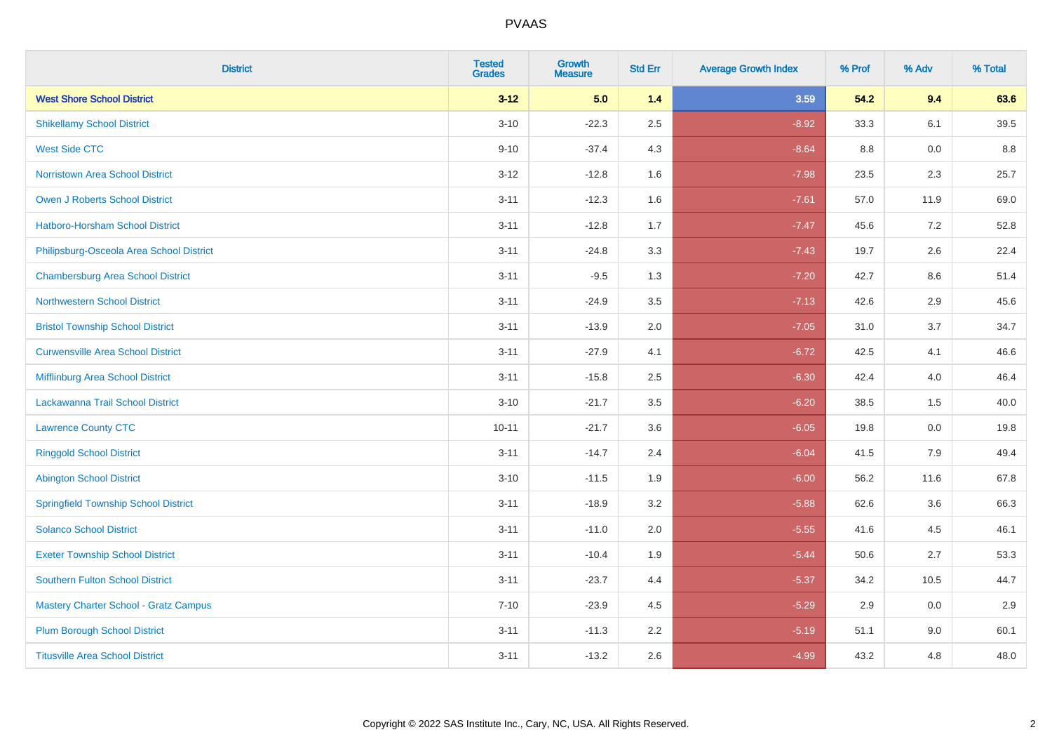| <b>District</b>                              | <b>Tested</b><br><b>Grades</b> | <b>Growth</b><br><b>Measure</b> | <b>Std Err</b> | <b>Average Growth Index</b> | % Prof | % Adv | % Total |
|----------------------------------------------|--------------------------------|---------------------------------|----------------|-----------------------------|--------|-------|---------|
| <b>West Shore School District</b>            | $3 - 12$                       | 5.0                             | 1.4            | 3.59                        | 54.2   | 9.4   | 63.6    |
| <b>Shikellamy School District</b>            | $3 - 10$                       | $-22.3$                         | 2.5            | $-8.92$                     | 33.3   | 6.1   | 39.5    |
| <b>West Side CTC</b>                         | $9 - 10$                       | $-37.4$                         | 4.3            | $-8.64$                     | 8.8    | 0.0   | 8.8     |
| <b>Norristown Area School District</b>       | $3 - 12$                       | $-12.8$                         | 1.6            | $-7.98$                     | 23.5   | 2.3   | 25.7    |
| <b>Owen J Roberts School District</b>        | $3 - 11$                       | $-12.3$                         | 1.6            | $-7.61$                     | 57.0   | 11.9  | 69.0    |
| <b>Hatboro-Horsham School District</b>       | $3 - 11$                       | $-12.8$                         | 1.7            | $-7.47$                     | 45.6   | 7.2   | 52.8    |
| Philipsburg-Osceola Area School District     | $3 - 11$                       | $-24.8$                         | 3.3            | $-7.43$                     | 19.7   | 2.6   | 22.4    |
| <b>Chambersburg Area School District</b>     | $3 - 11$                       | $-9.5$                          | 1.3            | $-7.20$                     | 42.7   | 8.6   | 51.4    |
| <b>Northwestern School District</b>          | $3 - 11$                       | $-24.9$                         | 3.5            | $-7.13$                     | 42.6   | 2.9   | 45.6    |
| <b>Bristol Township School District</b>      | $3 - 11$                       | $-13.9$                         | 2.0            | $-7.05$                     | 31.0   | 3.7   | 34.7    |
| <b>Curwensville Area School District</b>     | $3 - 11$                       | $-27.9$                         | 4.1            | $-6.72$                     | 42.5   | 4.1   | 46.6    |
| Mifflinburg Area School District             | $3 - 11$                       | $-15.8$                         | 2.5            | $-6.30$                     | 42.4   | 4.0   | 46.4    |
| Lackawanna Trail School District             | $3 - 10$                       | $-21.7$                         | 3.5            | $-6.20$                     | 38.5   | 1.5   | 40.0    |
| <b>Lawrence County CTC</b>                   | $10 - 11$                      | $-21.7$                         | 3.6            | $-6.05$                     | 19.8   | 0.0   | 19.8    |
| <b>Ringgold School District</b>              | $3 - 11$                       | $-14.7$                         | 2.4            | $-6.04$                     | 41.5   | 7.9   | 49.4    |
| <b>Abington School District</b>              | $3 - 10$                       | $-11.5$                         | 1.9            | $-6.00$                     | 56.2   | 11.6  | 67.8    |
| <b>Springfield Township School District</b>  | $3 - 11$                       | $-18.9$                         | 3.2            | $-5.88$                     | 62.6   | 3.6   | 66.3    |
| <b>Solanco School District</b>               | $3 - 11$                       | $-11.0$                         | 2.0            | $-5.55$                     | 41.6   | 4.5   | 46.1    |
| <b>Exeter Township School District</b>       | $3 - 11$                       | $-10.4$                         | 1.9            | $-5.44$                     | 50.6   | 2.7   | 53.3    |
| <b>Southern Fulton School District</b>       | $3 - 11$                       | $-23.7$                         | 4.4            | $-5.37$                     | 34.2   | 10.5  | 44.7    |
| <b>Mastery Charter School - Gratz Campus</b> | $7 - 10$                       | $-23.9$                         | 4.5            | $-5.29$                     | 2.9    | 0.0   | 2.9     |
| <b>Plum Borough School District</b>          | $3 - 11$                       | $-11.3$                         | 2.2            | $-5.19$                     | 51.1   | 9.0   | 60.1    |
| <b>Titusville Area School District</b>       | $3 - 11$                       | $-13.2$                         | 2.6            | $-4.99$                     | 43.2   | 4.8   | 48.0    |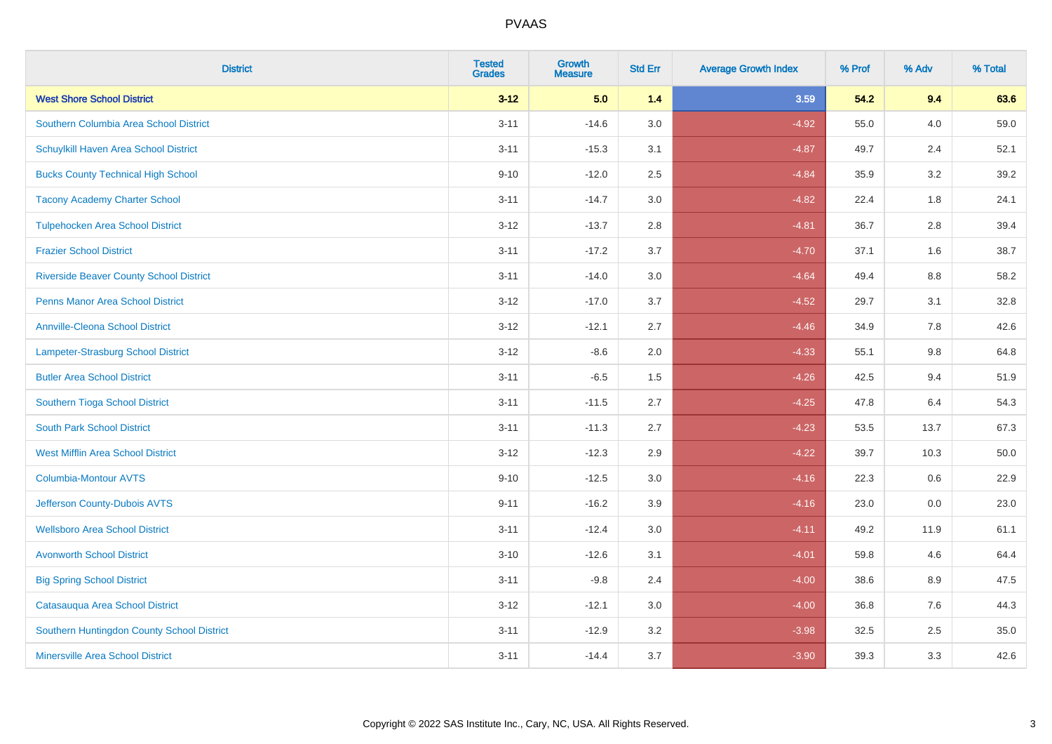| <b>District</b>                                | <b>Tested</b><br><b>Grades</b> | <b>Growth</b><br><b>Measure</b> | <b>Std Err</b> | <b>Average Growth Index</b> | % Prof | % Adv | % Total |
|------------------------------------------------|--------------------------------|---------------------------------|----------------|-----------------------------|--------|-------|---------|
| <b>West Shore School District</b>              | $3 - 12$                       | 5.0                             | 1.4            | 3.59                        | 54.2   | 9.4   | 63.6    |
| Southern Columbia Area School District         | $3 - 11$                       | $-14.6$                         | 3.0            | $-4.92$                     | 55.0   | 4.0   | 59.0    |
| Schuylkill Haven Area School District          | $3 - 11$                       | $-15.3$                         | 3.1            | $-4.87$                     | 49.7   | 2.4   | 52.1    |
| <b>Bucks County Technical High School</b>      | $9 - 10$                       | $-12.0$                         | 2.5            | $-4.84$                     | 35.9   | 3.2   | 39.2    |
| <b>Tacony Academy Charter School</b>           | $3 - 11$                       | $-14.7$                         | 3.0            | $-4.82$                     | 22.4   | 1.8   | 24.1    |
| <b>Tulpehocken Area School District</b>        | $3 - 12$                       | $-13.7$                         | 2.8            | $-4.81$                     | 36.7   | 2.8   | 39.4    |
| <b>Frazier School District</b>                 | $3 - 11$                       | $-17.2$                         | 3.7            | $-4.70$                     | 37.1   | 1.6   | 38.7    |
| <b>Riverside Beaver County School District</b> | $3 - 11$                       | $-14.0$                         | 3.0            | $-4.64$                     | 49.4   | 8.8   | 58.2    |
| <b>Penns Manor Area School District</b>        | $3 - 12$                       | $-17.0$                         | 3.7            | $-4.52$                     | 29.7   | 3.1   | 32.8    |
| <b>Annville-Cleona School District</b>         | $3 - 12$                       | $-12.1$                         | 2.7            | $-4.46$                     | 34.9   | 7.8   | 42.6    |
| Lampeter-Strasburg School District             | $3 - 12$                       | $-8.6$                          | 2.0            | $-4.33$                     | 55.1   | 9.8   | 64.8    |
| <b>Butler Area School District</b>             | $3 - 11$                       | $-6.5$                          | 1.5            | $-4.26$                     | 42.5   | 9.4   | 51.9    |
| Southern Tioga School District                 | $3 - 11$                       | $-11.5$                         | 2.7            | $-4.25$                     | 47.8   | 6.4   | 54.3    |
| <b>South Park School District</b>              | $3 - 11$                       | $-11.3$                         | 2.7            | $-4.23$                     | 53.5   | 13.7  | 67.3    |
| <b>West Mifflin Area School District</b>       | $3 - 12$                       | $-12.3$                         | 2.9            | $-4.22$                     | 39.7   | 10.3  | 50.0    |
| <b>Columbia-Montour AVTS</b>                   | $9 - 10$                       | $-12.5$                         | 3.0            | $-4.16$                     | 22.3   | 0.6   | 22.9    |
| Jefferson County-Dubois AVTS                   | $9 - 11$                       | $-16.2$                         | 3.9            | $-4.16$                     | 23.0   | 0.0   | 23.0    |
| <b>Wellsboro Area School District</b>          | $3 - 11$                       | $-12.4$                         | 3.0            | $-4.11$                     | 49.2   | 11.9  | 61.1    |
| <b>Avonworth School District</b>               | $3 - 10$                       | $-12.6$                         | 3.1            | $-4.01$                     | 59.8   | 4.6   | 64.4    |
| <b>Big Spring School District</b>              | $3 - 11$                       | $-9.8$                          | 2.4            | $-4.00$                     | 38.6   | 8.9   | 47.5    |
| Catasauqua Area School District                | $3-12$                         | $-12.1$                         | 3.0            | $-4.00$                     | 36.8   | 7.6   | 44.3    |
| Southern Huntingdon County School District     | $3 - 11$                       | $-12.9$                         | 3.2            | $-3.98$                     | 32.5   | 2.5   | 35.0    |
| <b>Minersville Area School District</b>        | $3 - 11$                       | $-14.4$                         | 3.7            | $-3.90$                     | 39.3   | 3.3   | 42.6    |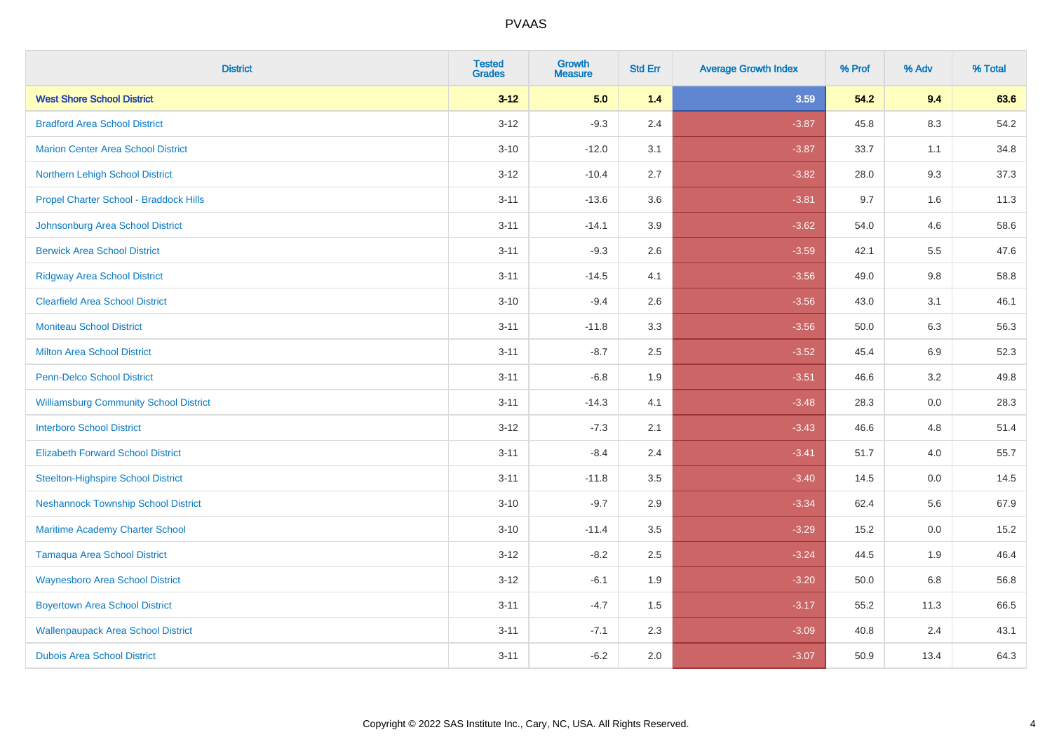| <b>District</b>                               | <b>Tested</b><br><b>Grades</b> | <b>Growth</b><br><b>Measure</b> | <b>Std Err</b> | <b>Average Growth Index</b> | % Prof | % Adv | % Total |
|-----------------------------------------------|--------------------------------|---------------------------------|----------------|-----------------------------|--------|-------|---------|
| <b>West Shore School District</b>             | $3 - 12$                       | 5.0                             | 1.4            | 3.59                        | 54.2   | 9.4   | 63.6    |
| <b>Bradford Area School District</b>          | $3 - 12$                       | $-9.3$                          | 2.4            | $-3.87$                     | 45.8   | 8.3   | 54.2    |
| <b>Marion Center Area School District</b>     | $3 - 10$                       | $-12.0$                         | 3.1            | $-3.87$                     | 33.7   | 1.1   | 34.8    |
| Northern Lehigh School District               | $3 - 12$                       | $-10.4$                         | 2.7            | $-3.82$                     | 28.0   | 9.3   | 37.3    |
| Propel Charter School - Braddock Hills        | $3 - 11$                       | $-13.6$                         | 3.6            | $-3.81$                     | 9.7    | 1.6   | 11.3    |
| Johnsonburg Area School District              | $3 - 11$                       | $-14.1$                         | 3.9            | $-3.62$                     | 54.0   | 4.6   | 58.6    |
| <b>Berwick Area School District</b>           | $3 - 11$                       | $-9.3$                          | 2.6            | $-3.59$                     | 42.1   | 5.5   | 47.6    |
| <b>Ridgway Area School District</b>           | $3 - 11$                       | $-14.5$                         | 4.1            | $-3.56$                     | 49.0   | 9.8   | 58.8    |
| <b>Clearfield Area School District</b>        | $3 - 10$                       | $-9.4$                          | 2.6            | $-3.56$                     | 43.0   | 3.1   | 46.1    |
| Moniteau School District                      | $3 - 11$                       | $-11.8$                         | 3.3            | $-3.56$                     | 50.0   | 6.3   | 56.3    |
| <b>Milton Area School District</b>            | $3 - 11$                       | $-8.7$                          | 2.5            | $-3.52$                     | 45.4   | 6.9   | 52.3    |
| <b>Penn-Delco School District</b>             | $3 - 11$                       | $-6.8$                          | 1.9            | $-3.51$                     | 46.6   | 3.2   | 49.8    |
| <b>Williamsburg Community School District</b> | $3 - 11$                       | $-14.3$                         | 4.1            | $-3.48$                     | 28.3   | 0.0   | 28.3    |
| <b>Interboro School District</b>              | $3 - 12$                       | $-7.3$                          | 2.1            | $-3.43$                     | 46.6   | 4.8   | 51.4    |
| <b>Elizabeth Forward School District</b>      | $3 - 11$                       | $-8.4$                          | 2.4            | $-3.41$                     | 51.7   | 4.0   | 55.7    |
| <b>Steelton-Highspire School District</b>     | $3 - 11$                       | $-11.8$                         | 3.5            | $-3.40$                     | 14.5   | 0.0   | 14.5    |
| <b>Neshannock Township School District</b>    | $3 - 10$                       | $-9.7$                          | 2.9            | $-3.34$                     | 62.4   | 5.6   | 67.9    |
| Maritime Academy Charter School               | $3 - 10$                       | $-11.4$                         | 3.5            | $-3.29$                     | 15.2   | 0.0   | 15.2    |
| <b>Tamaqua Area School District</b>           | $3 - 12$                       | $-8.2$                          | 2.5            | $-3.24$                     | 44.5   | 1.9   | 46.4    |
| <b>Waynesboro Area School District</b>        | $3 - 12$                       | $-6.1$                          | 1.9            | $-3.20$                     | 50.0   | 6.8   | 56.8    |
| <b>Boyertown Area School District</b>         | $3 - 11$                       | $-4.7$                          | 1.5            | $-3.17$                     | 55.2   | 11.3  | 66.5    |
| <b>Wallenpaupack Area School District</b>     | $3 - 11$                       | $-7.1$                          | 2.3            | $-3.09$                     | 40.8   | 2.4   | 43.1    |
| <b>Dubois Area School District</b>            | $3 - 11$                       | $-6.2$                          | 2.0            | $-3.07$                     | 50.9   | 13.4  | 64.3    |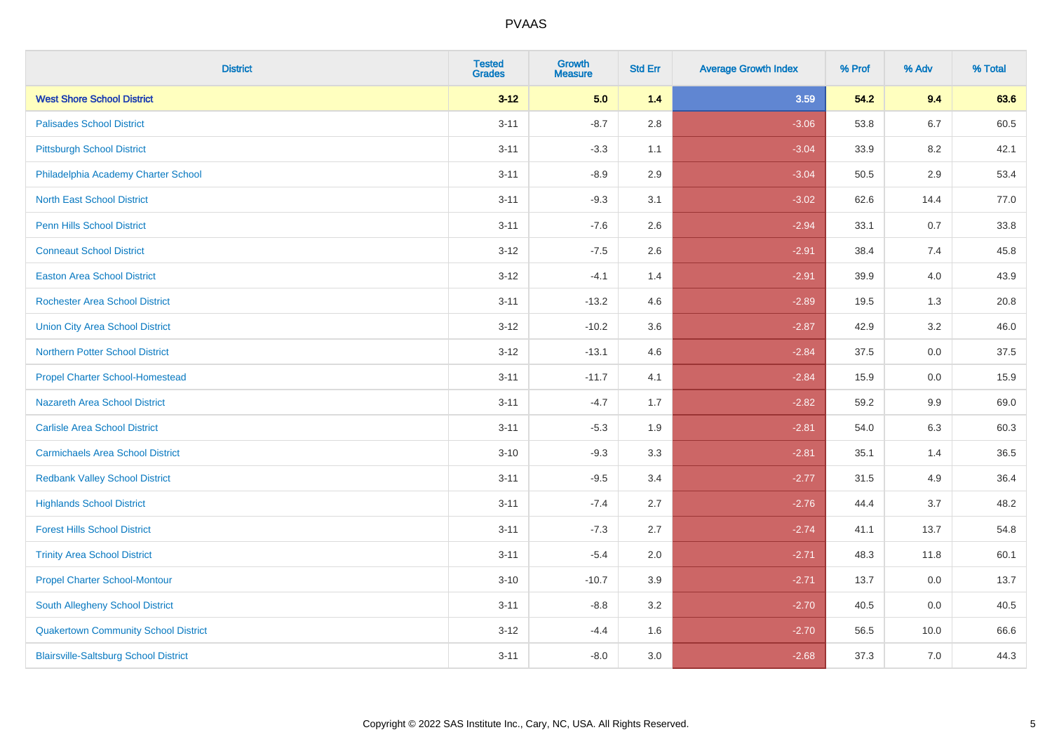| <b>District</b>                              | <b>Tested</b><br><b>Grades</b> | <b>Growth</b><br><b>Measure</b> | <b>Std Err</b> | <b>Average Growth Index</b> | % Prof | % Adv   | % Total |
|----------------------------------------------|--------------------------------|---------------------------------|----------------|-----------------------------|--------|---------|---------|
| <b>West Shore School District</b>            | $3 - 12$                       | 5.0                             | 1.4            | 3.59                        | 54.2   | 9.4     | 63.6    |
| <b>Palisades School District</b>             | $3 - 11$                       | $-8.7$                          | 2.8            | $-3.06$                     | 53.8   | 6.7     | 60.5    |
| <b>Pittsburgh School District</b>            | $3 - 11$                       | $-3.3$                          | 1.1            | $-3.04$                     | 33.9   | 8.2     | 42.1    |
| Philadelphia Academy Charter School          | $3 - 11$                       | $-8.9$                          | 2.9            | $-3.04$                     | 50.5   | $2.9\,$ | 53.4    |
| <b>North East School District</b>            | $3 - 11$                       | $-9.3$                          | 3.1            | $-3.02$                     | 62.6   | 14.4    | 77.0    |
| <b>Penn Hills School District</b>            | $3 - 11$                       | $-7.6$                          | 2.6            | $-2.94$                     | 33.1   | 0.7     | 33.8    |
| <b>Conneaut School District</b>              | $3 - 12$                       | $-7.5$                          | 2.6            | $-2.91$                     | 38.4   | 7.4     | 45.8    |
| <b>Easton Area School District</b>           | $3 - 12$                       | $-4.1$                          | 1.4            | $-2.91$                     | 39.9   | 4.0     | 43.9    |
| <b>Rochester Area School District</b>        | $3 - 11$                       | $-13.2$                         | 4.6            | $-2.89$                     | 19.5   | 1.3     | 20.8    |
| <b>Union City Area School District</b>       | $3 - 12$                       | $-10.2$                         | 3.6            | $-2.87$                     | 42.9   | $3.2\,$ | 46.0    |
| <b>Northern Potter School District</b>       | $3 - 12$                       | $-13.1$                         | 4.6            | $-2.84$                     | 37.5   | 0.0     | 37.5    |
| <b>Propel Charter School-Homestead</b>       | $3 - 11$                       | $-11.7$                         | 4.1            | $-2.84$                     | 15.9   | 0.0     | 15.9    |
| Nazareth Area School District                | $3 - 11$                       | $-4.7$                          | 1.7            | $-2.82$                     | 59.2   | 9.9     | 69.0    |
| <b>Carlisle Area School District</b>         | $3 - 11$                       | $-5.3$                          | 1.9            | $-2.81$                     | 54.0   | 6.3     | 60.3    |
| <b>Carmichaels Area School District</b>      | $3 - 10$                       | $-9.3$                          | 3.3            | $-2.81$                     | 35.1   | 1.4     | 36.5    |
| <b>Redbank Valley School District</b>        | $3 - 11$                       | $-9.5$                          | 3.4            | $-2.77$                     | 31.5   | 4.9     | 36.4    |
| <b>Highlands School District</b>             | $3 - 11$                       | $-7.4$                          | 2.7            | $-2.76$                     | 44.4   | 3.7     | 48.2    |
| <b>Forest Hills School District</b>          | $3 - 11$                       | $-7.3$                          | 2.7            | $-2.74$                     | 41.1   | 13.7    | 54.8    |
| <b>Trinity Area School District</b>          | $3 - 11$                       | $-5.4$                          | 2.0            | $-2.71$                     | 48.3   | 11.8    | 60.1    |
| <b>Propel Charter School-Montour</b>         | $3 - 10$                       | $-10.7$                         | 3.9            | $-2.71$                     | 13.7   | $0.0\,$ | 13.7    |
| South Allegheny School District              | $3 - 11$                       | $-8.8$                          | 3.2            | $-2.70$                     | 40.5   | 0.0     | 40.5    |
| <b>Quakertown Community School District</b>  | $3 - 12$                       | $-4.4$                          | 1.6            | $-2.70$                     | 56.5   | 10.0    | 66.6    |
| <b>Blairsville-Saltsburg School District</b> | $3 - 11$                       | $-8.0$                          | 3.0            | $-2.68$                     | 37.3   | 7.0     | 44.3    |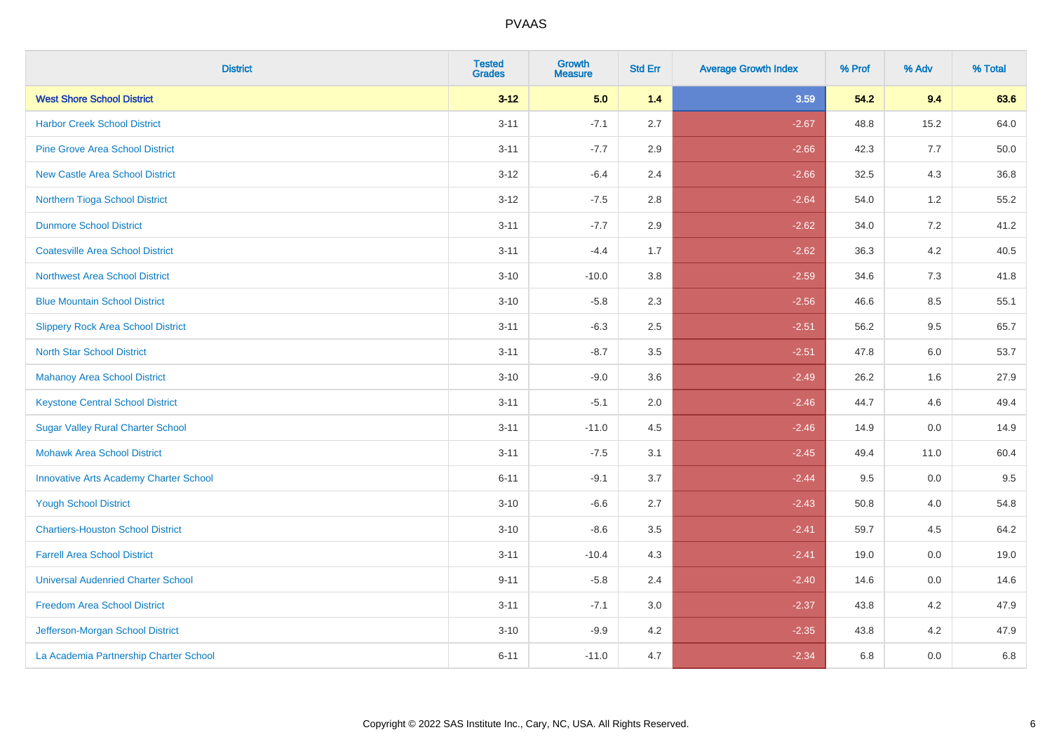| <b>District</b>                               | <b>Tested</b><br><b>Grades</b> | Growth<br><b>Measure</b> | <b>Std Err</b> | <b>Average Growth Index</b> | % Prof | % Adv   | % Total |
|-----------------------------------------------|--------------------------------|--------------------------|----------------|-----------------------------|--------|---------|---------|
| <b>West Shore School District</b>             | $3 - 12$                       | 5.0                      | 1.4            | 3.59                        | 54.2   | 9.4     | 63.6    |
| <b>Harbor Creek School District</b>           | $3 - 11$                       | $-7.1$                   | 2.7            | $-2.67$                     | 48.8   | 15.2    | 64.0    |
| <b>Pine Grove Area School District</b>        | $3 - 11$                       | $-7.7$                   | 2.9            | $-2.66$                     | 42.3   | 7.7     | 50.0    |
| <b>New Castle Area School District</b>        | $3-12$                         | $-6.4$                   | 2.4            | $-2.66$                     | 32.5   | $4.3$   | 36.8    |
| Northern Tioga School District                | $3 - 12$                       | $-7.5$                   | 2.8            | $-2.64$                     | 54.0   | 1.2     | 55.2    |
| <b>Dunmore School District</b>                | $3 - 11$                       | $-7.7$                   | 2.9            | $-2.62$                     | 34.0   | 7.2     | 41.2    |
| <b>Coatesville Area School District</b>       | $3 - 11$                       | $-4.4$                   | 1.7            | $-2.62$                     | 36.3   | $4.2\,$ | 40.5    |
| <b>Northwest Area School District</b>         | $3 - 10$                       | $-10.0$                  | 3.8            | $-2.59$                     | 34.6   | 7.3     | 41.8    |
| <b>Blue Mountain School District</b>          | $3 - 10$                       | $-5.8$                   | 2.3            | $-2.56$                     | 46.6   | 8.5     | 55.1    |
| <b>Slippery Rock Area School District</b>     | $3 - 11$                       | $-6.3$                   | 2.5            | $-2.51$                     | 56.2   | $9.5\,$ | 65.7    |
| <b>North Star School District</b>             | $3 - 11$                       | $-8.7$                   | 3.5            | $-2.51$                     | 47.8   | 6.0     | 53.7    |
| Mahanoy Area School District                  | $3 - 10$                       | $-9.0$                   | 3.6            | $-2.49$                     | 26.2   | 1.6     | 27.9    |
| <b>Keystone Central School District</b>       | $3 - 11$                       | $-5.1$                   | 2.0            | $-2.46$                     | 44.7   | 4.6     | 49.4    |
| <b>Sugar Valley Rural Charter School</b>      | $3 - 11$                       | $-11.0$                  | 4.5            | $-2.46$                     | 14.9   | $0.0\,$ | 14.9    |
| <b>Mohawk Area School District</b>            | $3 - 11$                       | $-7.5$                   | 3.1            | $-2.45$                     | 49.4   | 11.0    | 60.4    |
| <b>Innovative Arts Academy Charter School</b> | $6 - 11$                       | $-9.1$                   | 3.7            | $-2.44$                     | 9.5    | 0.0     | 9.5     |
| <b>Yough School District</b>                  | $3 - 10$                       | $-6.6$                   | 2.7            | $-2.43$                     | 50.8   | 4.0     | 54.8    |
| <b>Chartiers-Houston School District</b>      | $3 - 10$                       | $-8.6$                   | 3.5            | $-2.41$                     | 59.7   | 4.5     | 64.2    |
| <b>Farrell Area School District</b>           | $3 - 11$                       | $-10.4$                  | 4.3            | $-2.41$                     | 19.0   | 0.0     | 19.0    |
| <b>Universal Audenried Charter School</b>     | $9 - 11$                       | $-5.8$                   | 2.4            | $-2.40$                     | 14.6   | 0.0     | 14.6    |
| <b>Freedom Area School District</b>           | $3 - 11$                       | $-7.1$                   | 3.0            | $-2.37$                     | 43.8   | 4.2     | 47.9    |
| Jefferson-Morgan School District              | $3 - 10$                       | $-9.9$                   | 4.2            | $-2.35$                     | 43.8   | 4.2     | 47.9    |
| La Academia Partnership Charter School        | $6 - 11$                       | $-11.0$                  | 4.7            | $-2.34$                     | 6.8    | 0.0     | 6.8     |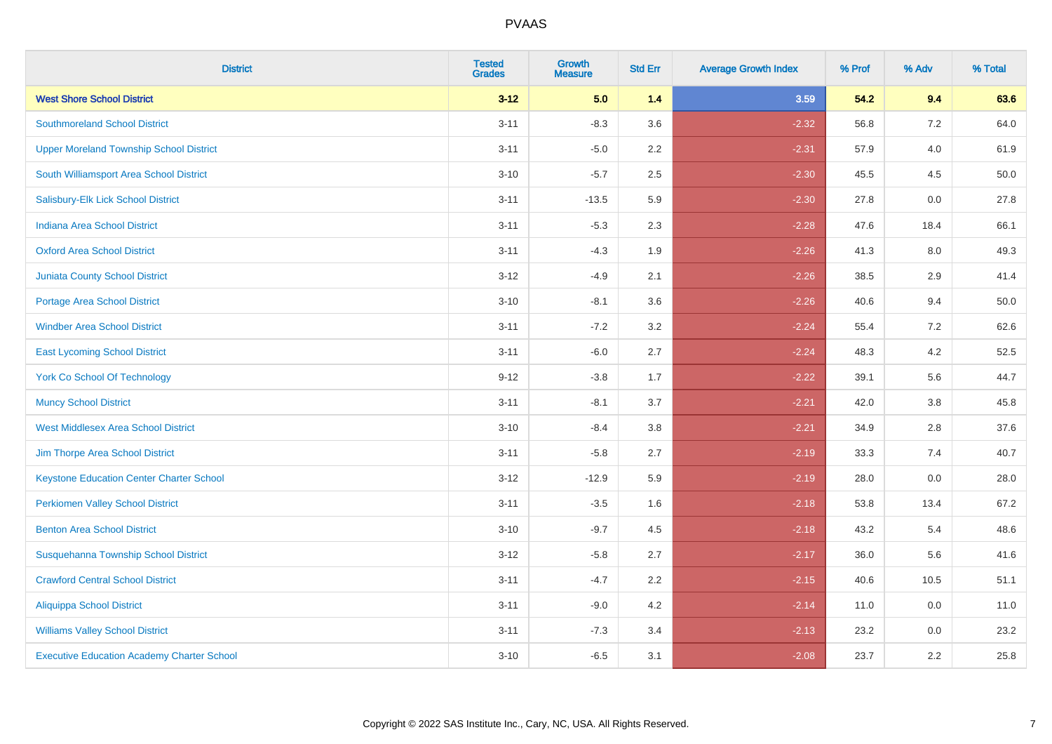| <b>District</b>                                   | <b>Tested</b><br><b>Grades</b> | <b>Growth</b><br><b>Measure</b> | <b>Std Err</b> | <b>Average Growth Index</b> | % Prof | % Adv | % Total |
|---------------------------------------------------|--------------------------------|---------------------------------|----------------|-----------------------------|--------|-------|---------|
| <b>West Shore School District</b>                 | $3 - 12$                       | 5.0                             | 1.4            | 3.59                        | 54.2   | 9.4   | 63.6    |
| <b>Southmoreland School District</b>              | $3 - 11$                       | $-8.3$                          | 3.6            | $-2.32$                     | 56.8   | 7.2   | 64.0    |
| <b>Upper Moreland Township School District</b>    | $3 - 11$                       | $-5.0$                          | 2.2            | $-2.31$                     | 57.9   | 4.0   | 61.9    |
| South Williamsport Area School District           | $3 - 10$                       | $-5.7$                          | 2.5            | $-2.30$                     | 45.5   | 4.5   | 50.0    |
| Salisbury-Elk Lick School District                | $3 - 11$                       | $-13.5$                         | 5.9            | $-2.30$                     | 27.8   | 0.0   | 27.8    |
| <b>Indiana Area School District</b>               | $3 - 11$                       | $-5.3$                          | 2.3            | $-2.28$                     | 47.6   | 18.4  | 66.1    |
| <b>Oxford Area School District</b>                | $3 - 11$                       | $-4.3$                          | 1.9            | $-2.26$                     | 41.3   | 8.0   | 49.3    |
| <b>Juniata County School District</b>             | $3 - 12$                       | $-4.9$                          | 2.1            | $-2.26$                     | 38.5   | 2.9   | 41.4    |
| Portage Area School District                      | $3 - 10$                       | $-8.1$                          | 3.6            | $-2.26$                     | 40.6   | 9.4   | 50.0    |
| <b>Windber Area School District</b>               | $3 - 11$                       | $-7.2$                          | 3.2            | $-2.24$                     | 55.4   | 7.2   | 62.6    |
| <b>East Lycoming School District</b>              | $3 - 11$                       | $-6.0$                          | 2.7            | $-2.24$                     | 48.3   | 4.2   | 52.5    |
| <b>York Co School Of Technology</b>               | $9 - 12$                       | $-3.8$                          | 1.7            | $-2.22$                     | 39.1   | 5.6   | 44.7    |
| <b>Muncy School District</b>                      | $3 - 11$                       | $-8.1$                          | 3.7            | $-2.21$                     | 42.0   | 3.8   | 45.8    |
| <b>West Middlesex Area School District</b>        | $3 - 10$                       | $-8.4$                          | 3.8            | $-2.21$                     | 34.9   | 2.8   | 37.6    |
| Jim Thorpe Area School District                   | $3 - 11$                       | $-5.8$                          | 2.7            | $-2.19$                     | 33.3   | 7.4   | 40.7    |
| <b>Keystone Education Center Charter School</b>   | $3 - 12$                       | $-12.9$                         | 5.9            | $-2.19$                     | 28.0   | 0.0   | 28.0    |
| <b>Perkiomen Valley School District</b>           | $3 - 11$                       | $-3.5$                          | 1.6            | $-2.18$                     | 53.8   | 13.4  | 67.2    |
| <b>Benton Area School District</b>                | $3 - 10$                       | $-9.7$                          | 4.5            | $-2.18$                     | 43.2   | 5.4   | 48.6    |
| Susquehanna Township School District              | $3 - 12$                       | $-5.8$                          | 2.7            | $-2.17$                     | 36.0   | 5.6   | 41.6    |
| <b>Crawford Central School District</b>           | $3 - 11$                       | $-4.7$                          | 2.2            | $-2.15$                     | 40.6   | 10.5  | 51.1    |
| <b>Aliquippa School District</b>                  | $3 - 11$                       | $-9.0$                          | 4.2            | $-2.14$                     | 11.0   | 0.0   | 11.0    |
| <b>Williams Valley School District</b>            | $3 - 11$                       | $-7.3$                          | 3.4            | $-2.13$                     | 23.2   | 0.0   | 23.2    |
| <b>Executive Education Academy Charter School</b> | $3 - 10$                       | $-6.5$                          | 3.1            | $-2.08$                     | 23.7   | 2.2   | 25.8    |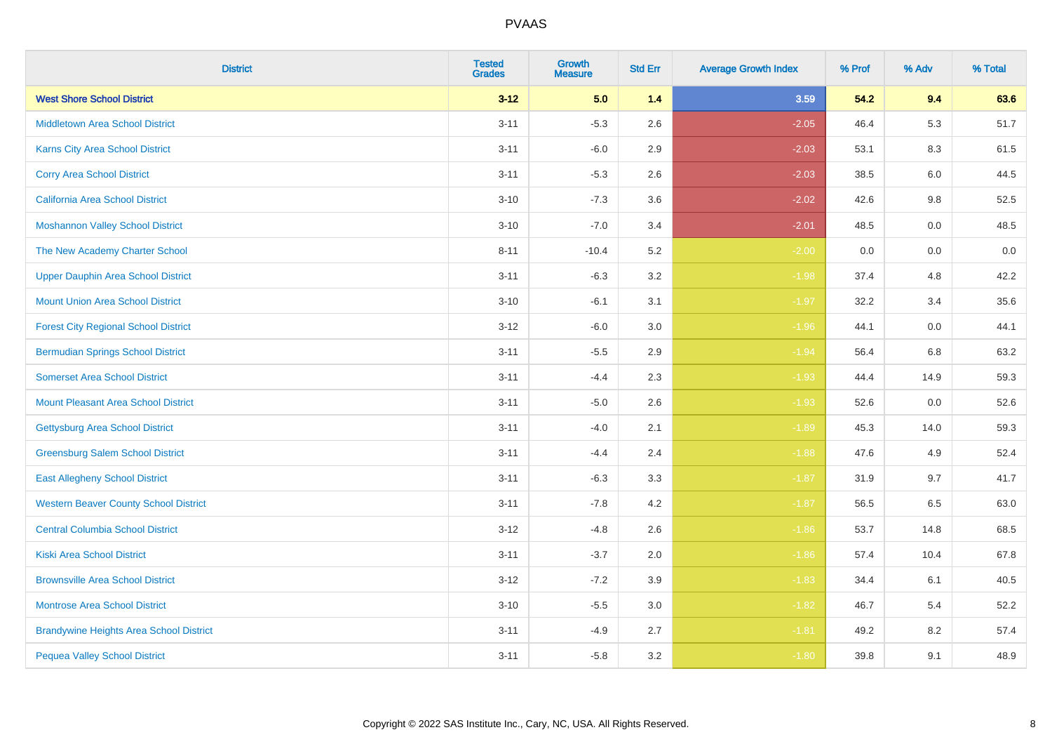| <b>District</b>                                | <b>Tested</b><br><b>Grades</b> | <b>Growth</b><br><b>Measure</b> | <b>Std Err</b> | <b>Average Growth Index</b> | % Prof | % Adv | % Total |
|------------------------------------------------|--------------------------------|---------------------------------|----------------|-----------------------------|--------|-------|---------|
| <b>West Shore School District</b>              | $3 - 12$                       | 5.0                             | $1.4$          | 3.59                        | 54.2   | 9.4   | 63.6    |
| <b>Middletown Area School District</b>         | $3 - 11$                       | $-5.3$                          | 2.6            | $-2.05$                     | 46.4   | 5.3   | 51.7    |
| <b>Karns City Area School District</b>         | $3 - 11$                       | $-6.0$                          | 2.9            | $-2.03$                     | 53.1   | 8.3   | 61.5    |
| <b>Corry Area School District</b>              | $3 - 11$                       | $-5.3$                          | 2.6            | $-2.03$                     | 38.5   | 6.0   | 44.5    |
| <b>California Area School District</b>         | $3 - 10$                       | $-7.3$                          | 3.6            | $-2.02$                     | 42.6   | 9.8   | 52.5    |
| <b>Moshannon Valley School District</b>        | $3 - 10$                       | $-7.0$                          | 3.4            | $-2.01$                     | 48.5   | 0.0   | 48.5    |
| The New Academy Charter School                 | $8 - 11$                       | $-10.4$                         | 5.2            | $-2.00$                     | 0.0    | 0.0   | 0.0     |
| <b>Upper Dauphin Area School District</b>      | $3 - 11$                       | $-6.3$                          | 3.2            | $-1.98$                     | 37.4   | 4.8   | 42.2    |
| <b>Mount Union Area School District</b>        | $3 - 10$                       | $-6.1$                          | 3.1            | $-1.97$                     | 32.2   | 3.4   | 35.6    |
| <b>Forest City Regional School District</b>    | $3 - 12$                       | $-6.0$                          | 3.0            | $-1.96$                     | 44.1   | 0.0   | 44.1    |
| <b>Bermudian Springs School District</b>       | $3 - 11$                       | $-5.5$                          | 2.9            | $-1.94$                     | 56.4   | 6.8   | 63.2    |
| <b>Somerset Area School District</b>           | $3 - 11$                       | $-4.4$                          | 2.3            | $-1.93$                     | 44.4   | 14.9  | 59.3    |
| <b>Mount Pleasant Area School District</b>     | $3 - 11$                       | $-5.0$                          | 2.6            | $-1.93$                     | 52.6   | 0.0   | 52.6    |
| <b>Gettysburg Area School District</b>         | $3 - 11$                       | $-4.0$                          | 2.1            | $-1.89$                     | 45.3   | 14.0  | 59.3    |
| <b>Greensburg Salem School District</b>        | $3 - 11$                       | $-4.4$                          | 2.4            | $-1.88$                     | 47.6   | 4.9   | 52.4    |
| <b>East Allegheny School District</b>          | $3 - 11$                       | $-6.3$                          | 3.3            | $-1.87$                     | 31.9   | 9.7   | 41.7    |
| <b>Western Beaver County School District</b>   | $3 - 11$                       | $-7.8$                          | 4.2            | $-1.87$                     | 56.5   | 6.5   | 63.0    |
| <b>Central Columbia School District</b>        | $3 - 12$                       | $-4.8$                          | 2.6            | $-1.86$                     | 53.7   | 14.8  | 68.5    |
| <b>Kiski Area School District</b>              | $3 - 11$                       | $-3.7$                          | 2.0            | $-1.86$                     | 57.4   | 10.4  | 67.8    |
| <b>Brownsville Area School District</b>        | $3 - 12$                       | $-7.2$                          | 3.9            | $-1.83$                     | 34.4   | 6.1   | 40.5    |
| <b>Montrose Area School District</b>           | $3 - 10$                       | $-5.5$                          | 3.0            | $-1.82$                     | 46.7   | 5.4   | 52.2    |
| <b>Brandywine Heights Area School District</b> | $3 - 11$                       | $-4.9$                          | 2.7            | $-1.81$                     | 49.2   | 8.2   | 57.4    |
| <b>Pequea Valley School District</b>           | $3 - 11$                       | $-5.8$                          | 3.2            | $-1.80$                     | 39.8   | 9.1   | 48.9    |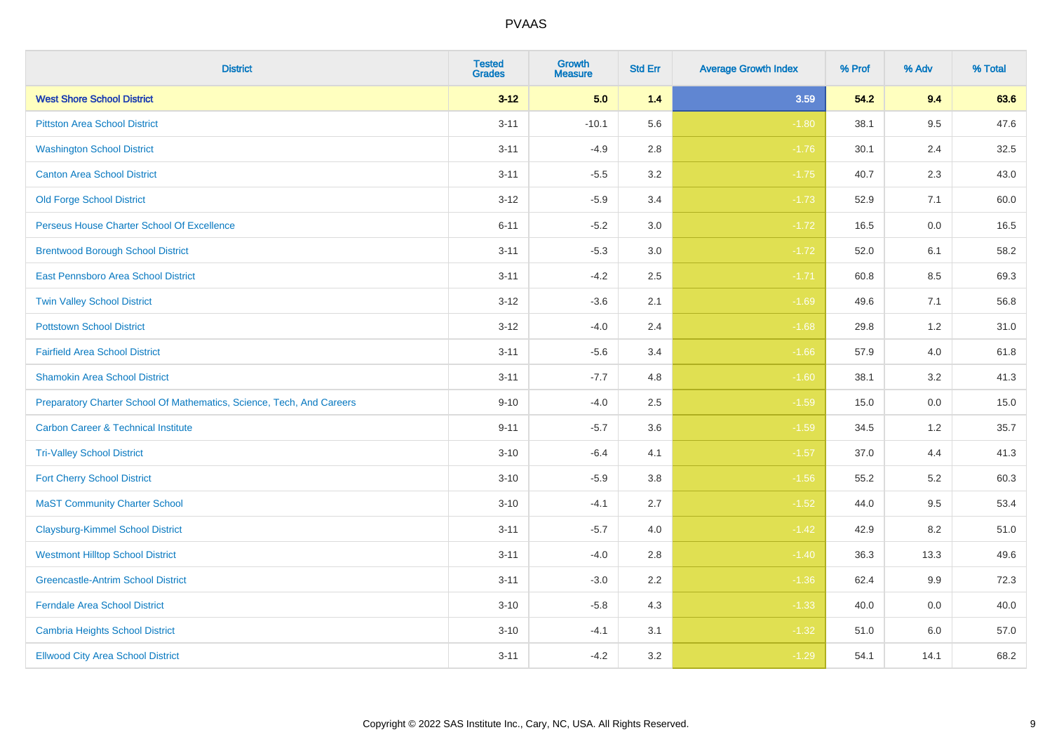| <b>District</b>                                                       | <b>Tested</b><br><b>Grades</b> | <b>Growth</b><br><b>Measure</b> | <b>Std Err</b> | <b>Average Growth Index</b> | % Prof | % Adv   | % Total |
|-----------------------------------------------------------------------|--------------------------------|---------------------------------|----------------|-----------------------------|--------|---------|---------|
| <b>West Shore School District</b>                                     | $3 - 12$                       | 5.0                             | $1.4$          | 3.59                        | 54.2   | 9.4     | 63.6    |
| <b>Pittston Area School District</b>                                  | $3 - 11$                       | $-10.1$                         | 5.6            | $-1.80$                     | 38.1   | 9.5     | 47.6    |
| <b>Washington School District</b>                                     | $3 - 11$                       | $-4.9$                          | 2.8            | $-1.76$                     | 30.1   | 2.4     | 32.5    |
| <b>Canton Area School District</b>                                    | $3 - 11$                       | $-5.5$                          | $3.2\,$        | $-1.75$                     | 40.7   | 2.3     | 43.0    |
| <b>Old Forge School District</b>                                      | $3 - 12$                       | $-5.9$                          | 3.4            | $-1.73$                     | 52.9   | 7.1     | 60.0    |
| Perseus House Charter School Of Excellence                            | $6 - 11$                       | $-5.2$                          | 3.0            | $-1.72$                     | 16.5   | 0.0     | 16.5    |
| <b>Brentwood Borough School District</b>                              | $3 - 11$                       | $-5.3$                          | $3.0\,$        | $-1.72$                     | 52.0   | 6.1     | 58.2    |
| East Pennsboro Area School District                                   | $3 - 11$                       | $-4.2$                          | 2.5            | $-1.71$                     | 60.8   | 8.5     | 69.3    |
| <b>Twin Valley School District</b>                                    | $3 - 12$                       | $-3.6$                          | 2.1            | $-1.69$                     | 49.6   | 7.1     | 56.8    |
| <b>Pottstown School District</b>                                      | $3 - 12$                       | $-4.0$                          | 2.4            | $-1.68$                     | 29.8   | 1.2     | 31.0    |
| <b>Fairfield Area School District</b>                                 | $3 - 11$                       | $-5.6$                          | 3.4            | $-1.66$                     | 57.9   | 4.0     | 61.8    |
| <b>Shamokin Area School District</b>                                  | $3 - 11$                       | $-7.7$                          | 4.8            | $-1.60$                     | 38.1   | 3.2     | 41.3    |
| Preparatory Charter School Of Mathematics, Science, Tech, And Careers | $9 - 10$                       | $-4.0$                          | 2.5            | $-1.59$                     | 15.0   | $0.0\,$ | 15.0    |
| <b>Carbon Career &amp; Technical Institute</b>                        | $9 - 11$                       | $-5.7$                          | 3.6            | $-1.59$                     | 34.5   | 1.2     | 35.7    |
| <b>Tri-Valley School District</b>                                     | $3 - 10$                       | $-6.4$                          | 4.1            | $-1.57$                     | 37.0   | 4.4     | 41.3    |
| <b>Fort Cherry School District</b>                                    | $3 - 10$                       | $-5.9$                          | 3.8            | $-1.56$                     | 55.2   | 5.2     | 60.3    |
| <b>MaST Community Charter School</b>                                  | $3 - 10$                       | $-4.1$                          | 2.7            | $-1.52$                     | 44.0   | 9.5     | 53.4    |
| <b>Claysburg-Kimmel School District</b>                               | $3 - 11$                       | $-5.7$                          | 4.0            | $-1.42$                     | 42.9   | 8.2     | 51.0    |
| <b>Westmont Hilltop School District</b>                               | $3 - 11$                       | $-4.0$                          | 2.8            | $-1.40$                     | 36.3   | 13.3    | 49.6    |
| <b>Greencastle-Antrim School District</b>                             | $3 - 11$                       | $-3.0$                          | 2.2            | $-1.36$                     | 62.4   | 9.9     | 72.3    |
| <b>Ferndale Area School District</b>                                  | $3 - 10$                       | $-5.8$                          | 4.3            | $-1.33$                     | 40.0   | 0.0     | 40.0    |
| <b>Cambria Heights School District</b>                                | $3 - 10$                       | $-4.1$                          | 3.1            | $-1.32$                     | 51.0   | 6.0     | 57.0    |
| <b>Ellwood City Area School District</b>                              | $3 - 11$                       | $-4.2$                          | 3.2            | $-1.29$                     | 54.1   | 14.1    | 68.2    |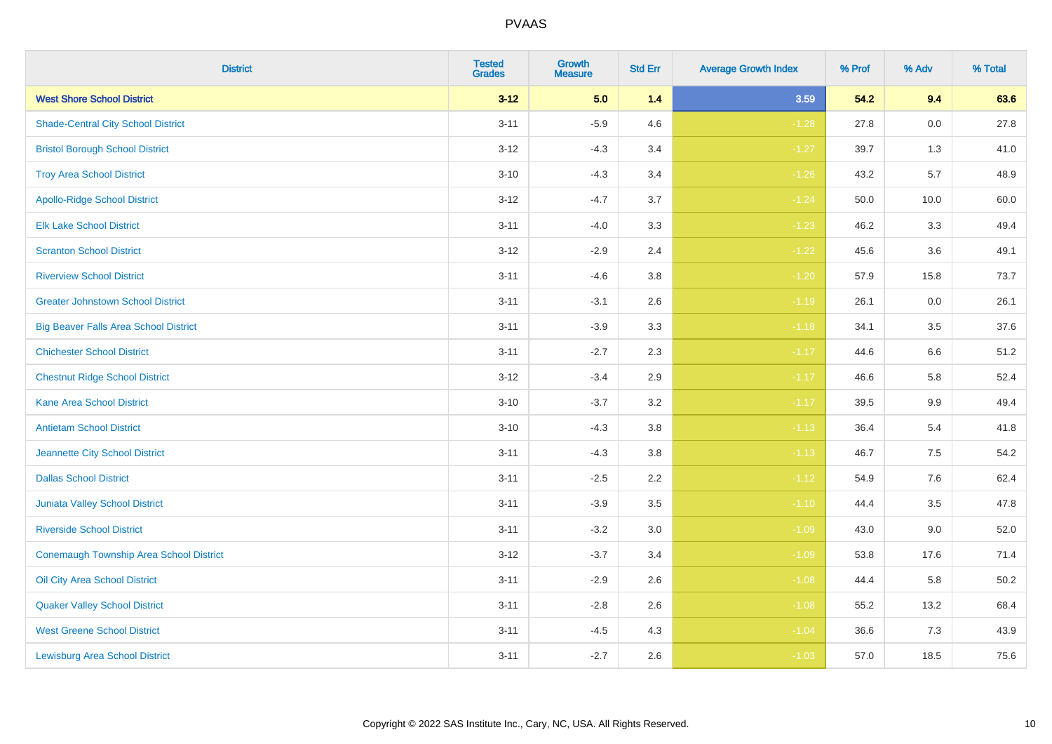| <b>District</b>                              | <b>Tested</b><br><b>Grades</b> | <b>Growth</b><br><b>Measure</b> | <b>Std Err</b> | <b>Average Growth Index</b> | % Prof | % Adv   | % Total |
|----------------------------------------------|--------------------------------|---------------------------------|----------------|-----------------------------|--------|---------|---------|
| <b>West Shore School District</b>            | $3 - 12$                       | 5.0                             | 1.4            | 3.59                        | 54.2   | 9.4     | 63.6    |
| <b>Shade-Central City School District</b>    | $3 - 11$                       | $-5.9$                          | 4.6            | $-1.28$                     | 27.8   | 0.0     | 27.8    |
| <b>Bristol Borough School District</b>       | $3 - 12$                       | $-4.3$                          | 3.4            | $-1.27$                     | 39.7   | 1.3     | 41.0    |
| <b>Troy Area School District</b>             | $3 - 10$                       | $-4.3$                          | 3.4            | $-1.26$                     | 43.2   | 5.7     | 48.9    |
| <b>Apollo-Ridge School District</b>          | $3 - 12$                       | $-4.7$                          | 3.7            | $-1.24$                     | 50.0   | 10.0    | 60.0    |
| <b>Elk Lake School District</b>              | $3 - 11$                       | $-4.0$                          | 3.3            | $-1.23$                     | 46.2   | 3.3     | 49.4    |
| <b>Scranton School District</b>              | $3 - 12$                       | $-2.9$                          | 2.4            | $-1.22$                     | 45.6   | 3.6     | 49.1    |
| <b>Riverview School District</b>             | $3 - 11$                       | $-4.6$                          | 3.8            | $-1.20$                     | 57.9   | 15.8    | 73.7    |
| <b>Greater Johnstown School District</b>     | $3 - 11$                       | $-3.1$                          | 2.6            | $-1.19$                     | 26.1   | 0.0     | 26.1    |
| <b>Big Beaver Falls Area School District</b> | $3 - 11$                       | $-3.9$                          | 3.3            | $-1.18$                     | 34.1   | 3.5     | 37.6    |
| <b>Chichester School District</b>            | $3 - 11$                       | $-2.7$                          | 2.3            | $-1.17$                     | 44.6   | 6.6     | 51.2    |
| <b>Chestnut Ridge School District</b>        | $3 - 12$                       | $-3.4$                          | 2.9            | $-1.17$                     | 46.6   | 5.8     | 52.4    |
| <b>Kane Area School District</b>             | $3 - 10$                       | $-3.7$                          | 3.2            | $-1.17$                     | 39.5   | 9.9     | 49.4    |
| <b>Antietam School District</b>              | $3 - 10$                       | $-4.3$                          | 3.8            | $-1.13$                     | 36.4   | 5.4     | 41.8    |
| Jeannette City School District               | $3 - 11$                       | $-4.3$                          | 3.8            | $-1.13$                     | 46.7   | 7.5     | 54.2    |
| <b>Dallas School District</b>                | $3 - 11$                       | $-2.5$                          | 2.2            | $-1.12$                     | 54.9   | $7.6\,$ | 62.4    |
| Juniata Valley School District               | $3 - 11$                       | $-3.9$                          | 3.5            | $-1.10$                     | 44.4   | 3.5     | 47.8    |
| <b>Riverside School District</b>             | $3 - 11$                       | $-3.2$                          | 3.0            | $-1.09$                     | 43.0   | 9.0     | 52.0    |
| Conemaugh Township Area School District      | $3-12$                         | $-3.7$                          | 3.4            | $-1.09$                     | 53.8   | 17.6    | 71.4    |
| Oil City Area School District                | $3 - 11$                       | $-2.9$                          | 2.6            | $-1.08$                     | 44.4   | 5.8     | 50.2    |
| <b>Quaker Valley School District</b>         | $3 - 11$                       | $-2.8$                          | 2.6            | $-1.08$                     | 55.2   | 13.2    | 68.4    |
| <b>West Greene School District</b>           | $3 - 11$                       | $-4.5$                          | 4.3            | $-1.04$                     | 36.6   | 7.3     | 43.9    |
| <b>Lewisburg Area School District</b>        | $3 - 11$                       | $-2.7$                          | 2.6            | $-1.03$                     | 57.0   | 18.5    | 75.6    |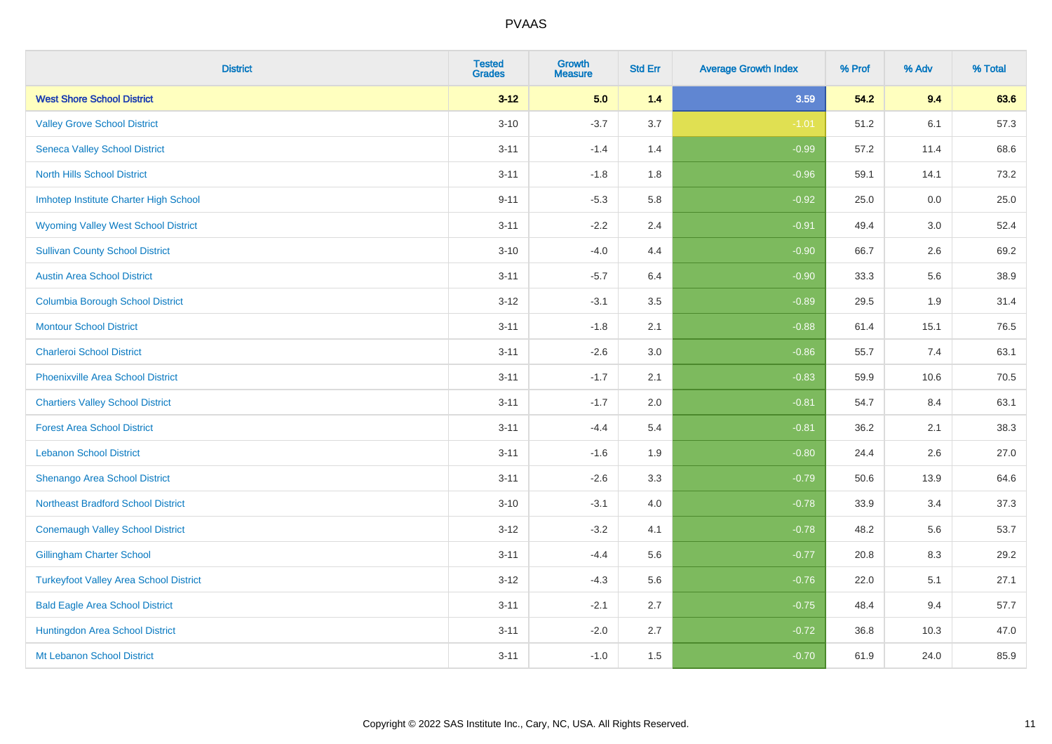| <b>District</b>                               | <b>Tested</b><br><b>Grades</b> | <b>Growth</b><br><b>Measure</b> | <b>Std Err</b> | <b>Average Growth Index</b> | % Prof | % Adv | % Total |
|-----------------------------------------------|--------------------------------|---------------------------------|----------------|-----------------------------|--------|-------|---------|
| <b>West Shore School District</b>             | $3 - 12$                       | 5.0                             | 1.4            | 3.59                        | 54.2   | 9.4   | 63.6    |
| <b>Valley Grove School District</b>           | $3 - 10$                       | $-3.7$                          | 3.7            | $-1.01$                     | 51.2   | 6.1   | 57.3    |
| <b>Seneca Valley School District</b>          | $3 - 11$                       | $-1.4$                          | 1.4            | $-0.99$                     | 57.2   | 11.4  | 68.6    |
| <b>North Hills School District</b>            | $3 - 11$                       | $-1.8$                          | 1.8            | $-0.96$                     | 59.1   | 14.1  | 73.2    |
| Imhotep Institute Charter High School         | $9 - 11$                       | $-5.3$                          | 5.8            | $-0.92$                     | 25.0   | 0.0   | 25.0    |
| <b>Wyoming Valley West School District</b>    | $3 - 11$                       | $-2.2$                          | 2.4            | $-0.91$                     | 49.4   | 3.0   | 52.4    |
| <b>Sullivan County School District</b>        | $3 - 10$                       | $-4.0$                          | 4.4            | $-0.90$                     | 66.7   | 2.6   | 69.2    |
| <b>Austin Area School District</b>            | $3 - 11$                       | $-5.7$                          | 6.4            | $-0.90$                     | 33.3   | 5.6   | 38.9    |
| <b>Columbia Borough School District</b>       | $3 - 12$                       | $-3.1$                          | 3.5            | $-0.89$                     | 29.5   | 1.9   | 31.4    |
| <b>Montour School District</b>                | $3 - 11$                       | $-1.8$                          | 2.1            | $-0.88$                     | 61.4   | 15.1  | 76.5    |
| <b>Charleroi School District</b>              | $3 - 11$                       | $-2.6$                          | 3.0            | $-0.86$                     | 55.7   | 7.4   | 63.1    |
| <b>Phoenixville Area School District</b>      | $3 - 11$                       | $-1.7$                          | 2.1            | $-0.83$                     | 59.9   | 10.6  | 70.5    |
| <b>Chartiers Valley School District</b>       | $3 - 11$                       | $-1.7$                          | 2.0            | $-0.81$                     | 54.7   | 8.4   | 63.1    |
| <b>Forest Area School District</b>            | $3 - 11$                       | $-4.4$                          | 5.4            | $-0.81$                     | 36.2   | 2.1   | 38.3    |
| <b>Lebanon School District</b>                | $3 - 11$                       | $-1.6$                          | 1.9            | $-0.80$                     | 24.4   | 2.6   | 27.0    |
| Shenango Area School District                 | $3 - 11$                       | $-2.6$                          | 3.3            | $-0.79$                     | 50.6   | 13.9  | 64.6    |
| <b>Northeast Bradford School District</b>     | $3 - 10$                       | $-3.1$                          | 4.0            | $-0.78$                     | 33.9   | 3.4   | 37.3    |
| <b>Conemaugh Valley School District</b>       | $3 - 12$                       | $-3.2$                          | 4.1            | $-0.78$                     | 48.2   | 5.6   | 53.7    |
| <b>Gillingham Charter School</b>              | $3 - 11$                       | $-4.4$                          | 5.6            | $-0.77$                     | 20.8   | 8.3   | 29.2    |
| <b>Turkeyfoot Valley Area School District</b> | $3-12$                         | $-4.3$                          | 5.6            | $-0.76$                     | 22.0   | 5.1   | 27.1    |
| <b>Bald Eagle Area School District</b>        | $3 - 11$                       | $-2.1$                          | 2.7            | $-0.75$                     | 48.4   | 9.4   | 57.7    |
| Huntingdon Area School District               | $3 - 11$                       | $-2.0$                          | 2.7            | $-0.72$                     | 36.8   | 10.3  | 47.0    |
| Mt Lebanon School District                    | $3 - 11$                       | $-1.0$                          | 1.5            | $-0.70$                     | 61.9   | 24.0  | 85.9    |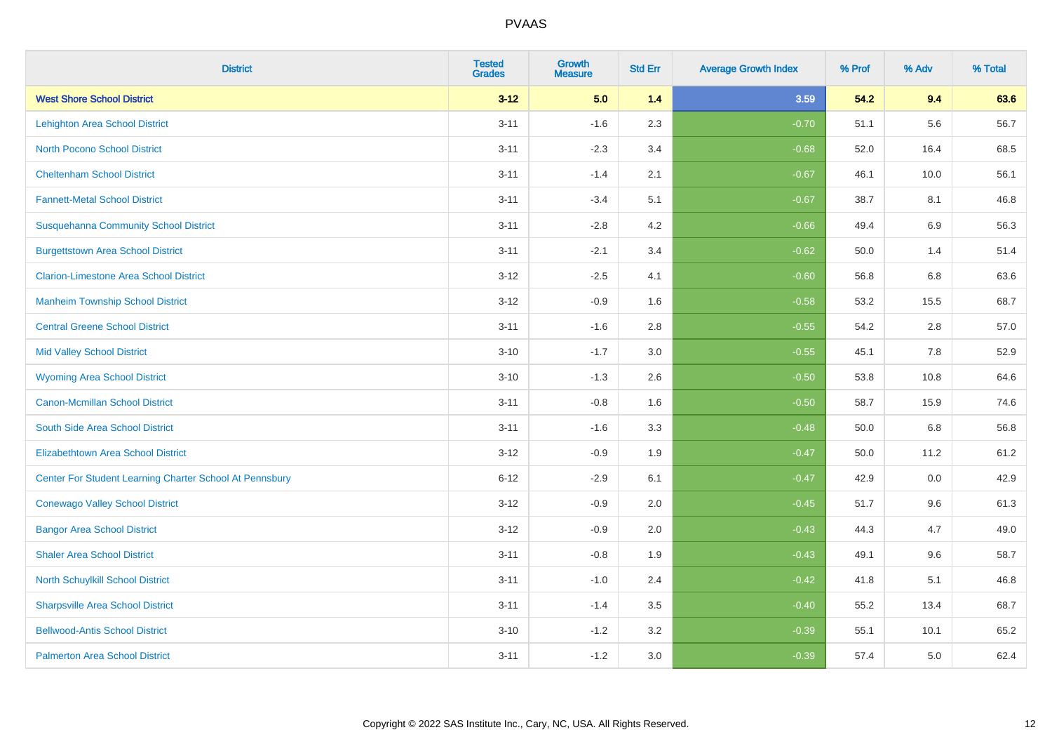| <b>District</b>                                         | <b>Tested</b><br><b>Grades</b> | <b>Growth</b><br><b>Measure</b> | <b>Std Err</b> | <b>Average Growth Index</b> | % Prof | % Adv   | % Total |
|---------------------------------------------------------|--------------------------------|---------------------------------|----------------|-----------------------------|--------|---------|---------|
| <b>West Shore School District</b>                       | $3 - 12$                       | 5.0                             | 1.4            | 3.59                        | 54.2   | 9.4     | 63.6    |
| <b>Lehighton Area School District</b>                   | $3 - 11$                       | $-1.6$                          | 2.3            | $-0.70$                     | 51.1   | 5.6     | 56.7    |
| <b>North Pocono School District</b>                     | $3 - 11$                       | $-2.3$                          | 3.4            | $-0.68$                     | 52.0   | 16.4    | 68.5    |
| <b>Cheltenham School District</b>                       | $3 - 11$                       | $-1.4$                          | 2.1            | $-0.67$                     | 46.1   | 10.0    | 56.1    |
| <b>Fannett-Metal School District</b>                    | $3 - 11$                       | $-3.4$                          | 5.1            | $-0.67$                     | 38.7   | 8.1     | 46.8    |
| <b>Susquehanna Community School District</b>            | $3 - 11$                       | $-2.8$                          | 4.2            | $-0.66$                     | 49.4   | 6.9     | 56.3    |
| <b>Burgettstown Area School District</b>                | $3 - 11$                       | $-2.1$                          | 3.4            | $-0.62$                     | 50.0   | 1.4     | 51.4    |
| <b>Clarion-Limestone Area School District</b>           | $3 - 12$                       | $-2.5$                          | 4.1            | $-0.60$                     | 56.8   | 6.8     | 63.6    |
| <b>Manheim Township School District</b>                 | $3 - 12$                       | $-0.9$                          | 1.6            | $-0.58$                     | 53.2   | 15.5    | 68.7    |
| <b>Central Greene School District</b>                   | $3 - 11$                       | $-1.6$                          | 2.8            | $-0.55$                     | 54.2   | 2.8     | 57.0    |
| <b>Mid Valley School District</b>                       | $3 - 10$                       | $-1.7$                          | 3.0            | $-0.55$                     | 45.1   | 7.8     | 52.9    |
| <b>Wyoming Area School District</b>                     | $3 - 10$                       | $-1.3$                          | 2.6            | $-0.50$                     | 53.8   | 10.8    | 64.6    |
| <b>Canon-Mcmillan School District</b>                   | $3 - 11$                       | $-0.8$                          | 1.6            | $-0.50$                     | 58.7   | 15.9    | 74.6    |
| South Side Area School District                         | $3 - 11$                       | $-1.6$                          | 3.3            | $-0.48$                     | 50.0   | $6.8\,$ | 56.8    |
| <b>Elizabethtown Area School District</b>               | $3-12$                         | $-0.9$                          | 1.9            | $-0.47$                     | 50.0   | 11.2    | 61.2    |
| Center For Student Learning Charter School At Pennsbury | $6 - 12$                       | $-2.9$                          | 6.1            | $-0.47$                     | 42.9   | $0.0\,$ | 42.9    |
| <b>Conewago Valley School District</b>                  | $3 - 12$                       | $-0.9$                          | 2.0            | $-0.45$                     | 51.7   | 9.6     | 61.3    |
| <b>Bangor Area School District</b>                      | $3-12$                         | $-0.9$                          | 2.0            | $-0.43$                     | 44.3   | 4.7     | 49.0    |
| <b>Shaler Area School District</b>                      | $3 - 11$                       | $-0.8$                          | 1.9            | $-0.43$                     | 49.1   | 9.6     | 58.7    |
| <b>North Schuylkill School District</b>                 | $3 - 11$                       | $-1.0$                          | 2.4            | $-0.42$                     | 41.8   | 5.1     | 46.8    |
| <b>Sharpsville Area School District</b>                 | $3 - 11$                       | $-1.4$                          | 3.5            | $-0.40$                     | 55.2   | 13.4    | 68.7    |
| <b>Bellwood-Antis School District</b>                   | $3 - 10$                       | $-1.2$                          | 3.2            | $-0.39$                     | 55.1   | 10.1    | 65.2    |
| <b>Palmerton Area School District</b>                   | $3 - 11$                       | $-1.2$                          | 3.0            | $-0.39$                     | 57.4   | 5.0     | 62.4    |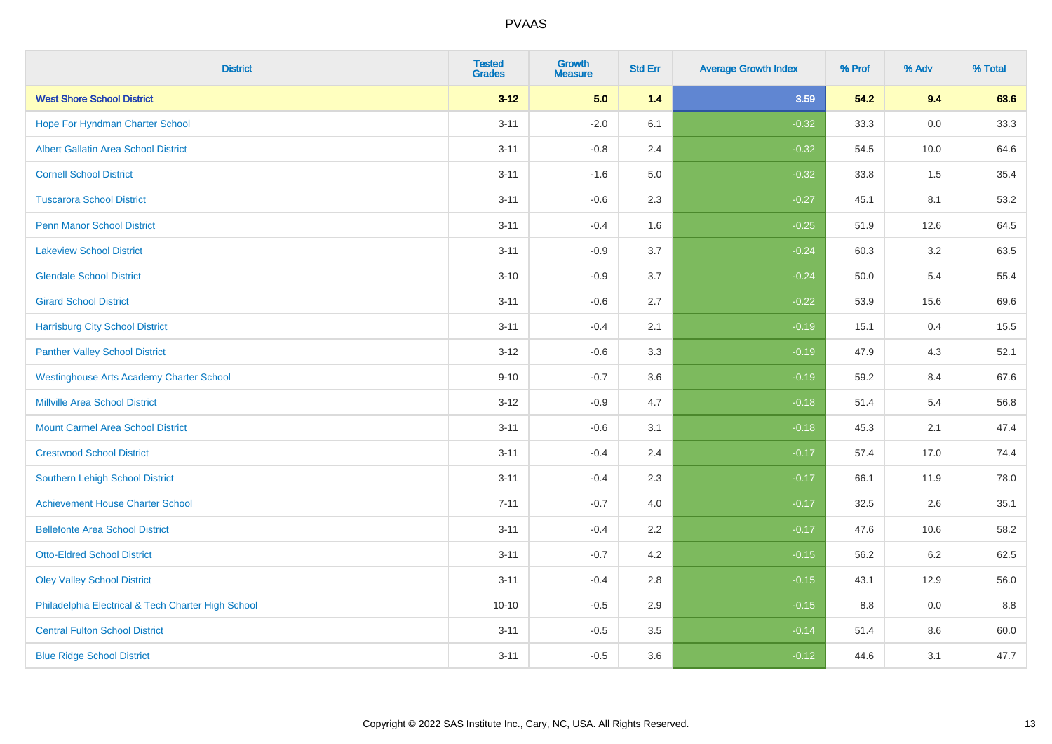| <b>District</b>                                    | <b>Tested</b><br><b>Grades</b> | <b>Growth</b><br><b>Measure</b> | <b>Std Err</b> | <b>Average Growth Index</b> | % Prof | % Adv   | % Total |
|----------------------------------------------------|--------------------------------|---------------------------------|----------------|-----------------------------|--------|---------|---------|
| <b>West Shore School District</b>                  | $3 - 12$                       | 5.0                             | 1.4            | 3.59                        | 54.2   | 9.4     | 63.6    |
| Hope For Hyndman Charter School                    | $3 - 11$                       | $-2.0$                          | 6.1            | $-0.32$                     | 33.3   | $0.0\,$ | 33.3    |
| <b>Albert Gallatin Area School District</b>        | $3 - 11$                       | $-0.8$                          | 2.4            | $-0.32$                     | 54.5   | 10.0    | 64.6    |
| <b>Cornell School District</b>                     | $3 - 11$                       | $-1.6$                          | $5.0\,$        | $-0.32$                     | 33.8   | 1.5     | 35.4    |
| <b>Tuscarora School District</b>                   | $3 - 11$                       | $-0.6$                          | 2.3            | $-0.27$                     | 45.1   | 8.1     | 53.2    |
| <b>Penn Manor School District</b>                  | $3 - 11$                       | $-0.4$                          | 1.6            | $-0.25$                     | 51.9   | 12.6    | 64.5    |
| <b>Lakeview School District</b>                    | $3 - 11$                       | $-0.9$                          | 3.7            | $-0.24$                     | 60.3   | 3.2     | 63.5    |
| <b>Glendale School District</b>                    | $3 - 10$                       | $-0.9$                          | 3.7            | $-0.24$                     | 50.0   | 5.4     | 55.4    |
| <b>Girard School District</b>                      | $3 - 11$                       | $-0.6$                          | 2.7            | $-0.22$                     | 53.9   | 15.6    | 69.6    |
| <b>Harrisburg City School District</b>             | $3 - 11$                       | $-0.4$                          | 2.1            | $-0.19$                     | 15.1   | 0.4     | 15.5    |
| <b>Panther Valley School District</b>              | $3 - 12$                       | $-0.6$                          | 3.3            | $-0.19$                     | 47.9   | 4.3     | 52.1    |
| <b>Westinghouse Arts Academy Charter School</b>    | $9 - 10$                       | $-0.7$                          | 3.6            | $-0.19$                     | 59.2   | 8.4     | 67.6    |
| <b>Millville Area School District</b>              | $3 - 12$                       | $-0.9$                          | 4.7            | $-0.18$                     | 51.4   | 5.4     | 56.8    |
| <b>Mount Carmel Area School District</b>           | $3 - 11$                       | $-0.6$                          | 3.1            | $-0.18$                     | 45.3   | 2.1     | 47.4    |
| <b>Crestwood School District</b>                   | $3 - 11$                       | $-0.4$                          | 2.4            | $-0.17$                     | 57.4   | 17.0    | 74.4    |
| <b>Southern Lehigh School District</b>             | $3 - 11$                       | $-0.4$                          | 2.3            | $-0.17$                     | 66.1   | 11.9    | 78.0    |
| <b>Achievement House Charter School</b>            | $7 - 11$                       | $-0.7$                          | 4.0            | $-0.17$                     | 32.5   | 2.6     | 35.1    |
| <b>Bellefonte Area School District</b>             | $3 - 11$                       | $-0.4$                          | 2.2            | $-0.17$                     | 47.6   | 10.6    | 58.2    |
| <b>Otto-Eldred School District</b>                 | $3 - 11$                       | $-0.7$                          | 4.2            | $-0.15$                     | 56.2   | $6.2\,$ | 62.5    |
| <b>Oley Valley School District</b>                 | $3 - 11$                       | $-0.4$                          | 2.8            | $-0.15$                     | 43.1   | 12.9    | 56.0    |
| Philadelphia Electrical & Tech Charter High School | $10 - 10$                      | $-0.5$                          | 2.9            | $-0.15$                     | 8.8    | 0.0     | 8.8     |
| <b>Central Fulton School District</b>              | $3 - 11$                       | $-0.5$                          | 3.5            | $-0.14$                     | 51.4   | 8.6     | 60.0    |
| <b>Blue Ridge School District</b>                  | $3 - 11$                       | $-0.5$                          | 3.6            | $-0.12$                     | 44.6   | 3.1     | 47.7    |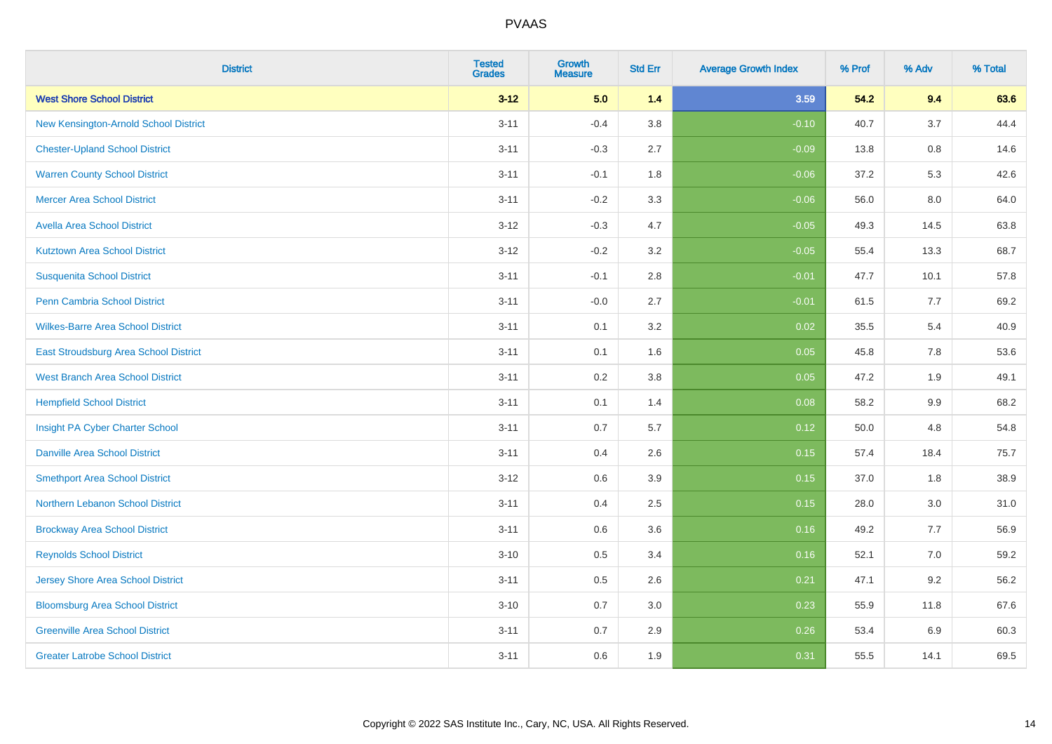| <b>District</b>                          | <b>Tested</b><br><b>Grades</b> | <b>Growth</b><br><b>Measure</b> | <b>Std Err</b> | <b>Average Growth Index</b> | % Prof | % Adv   | % Total |
|------------------------------------------|--------------------------------|---------------------------------|----------------|-----------------------------|--------|---------|---------|
| <b>West Shore School District</b>        | $3 - 12$                       | 5.0                             | 1.4            | 3.59                        | 54.2   | 9.4     | 63.6    |
| New Kensington-Arnold School District    | $3 - 11$                       | $-0.4$                          | 3.8            | $-0.10$                     | 40.7   | 3.7     | 44.4    |
| <b>Chester-Upland School District</b>    | $3 - 11$                       | $-0.3$                          | 2.7            | $-0.09$                     | 13.8   | $0.8\,$ | 14.6    |
| <b>Warren County School District</b>     | $3 - 11$                       | $-0.1$                          | 1.8            | $-0.06$                     | 37.2   | 5.3     | 42.6    |
| <b>Mercer Area School District</b>       | $3 - 11$                       | $-0.2$                          | 3.3            | $-0.06$                     | 56.0   | 8.0     | 64.0    |
| <b>Avella Area School District</b>       | $3 - 12$                       | $-0.3$                          | 4.7            | $-0.05$                     | 49.3   | 14.5    | 63.8    |
| <b>Kutztown Area School District</b>     | $3 - 12$                       | $-0.2$                          | 3.2            | $-0.05$                     | 55.4   | 13.3    | 68.7    |
| <b>Susquenita School District</b>        | $3 - 11$                       | $-0.1$                          | 2.8            | $-0.01$                     | 47.7   | 10.1    | 57.8    |
| <b>Penn Cambria School District</b>      | $3 - 11$                       | $-0.0$                          | 2.7            | $-0.01$                     | 61.5   | 7.7     | 69.2    |
| <b>Wilkes-Barre Area School District</b> | $3 - 11$                       | 0.1                             | 3.2            | 0.02                        | 35.5   | 5.4     | 40.9    |
| East Stroudsburg Area School District    | $3 - 11$                       | 0.1                             | 1.6            | 0.05                        | 45.8   | 7.8     | 53.6    |
| <b>West Branch Area School District</b>  | $3 - 11$                       | 0.2                             | 3.8            | 0.05                        | 47.2   | 1.9     | 49.1    |
| <b>Hempfield School District</b>         | $3 - 11$                       | 0.1                             | 1.4            | 0.08                        | 58.2   | $9.9\,$ | 68.2    |
| Insight PA Cyber Charter School          | $3 - 11$                       | 0.7                             | 5.7            | 0.12                        | 50.0   | 4.8     | 54.8    |
| <b>Danville Area School District</b>     | $3 - 11$                       | 0.4                             | 2.6            | 0.15                        | 57.4   | 18.4    | 75.7    |
| <b>Smethport Area School District</b>    | $3 - 12$                       | 0.6                             | 3.9            | 0.15                        | 37.0   | 1.8     | 38.9    |
| Northern Lebanon School District         | $3 - 11$                       | 0.4                             | 2.5            | 0.15                        | 28.0   | 3.0     | 31.0    |
| <b>Brockway Area School District</b>     | $3 - 11$                       | 0.6                             | 3.6            | 0.16                        | 49.2   | 7.7     | 56.9    |
| <b>Reynolds School District</b>          | $3 - 10$                       | 0.5                             | 3.4            | 0.16                        | 52.1   | 7.0     | 59.2    |
| <b>Jersey Shore Area School District</b> | $3 - 11$                       | 0.5                             | 2.6            | 0.21                        | 47.1   | 9.2     | 56.2    |
| <b>Bloomsburg Area School District</b>   | $3 - 10$                       | 0.7                             | 3.0            | 0.23                        | 55.9   | 11.8    | 67.6    |
| <b>Greenville Area School District</b>   | $3 - 11$                       | 0.7                             | 2.9            | 0.26                        | 53.4   | 6.9     | 60.3    |
| <b>Greater Latrobe School District</b>   | $3 - 11$                       | 0.6                             | 1.9            | 0.31                        | 55.5   | 14.1    | 69.5    |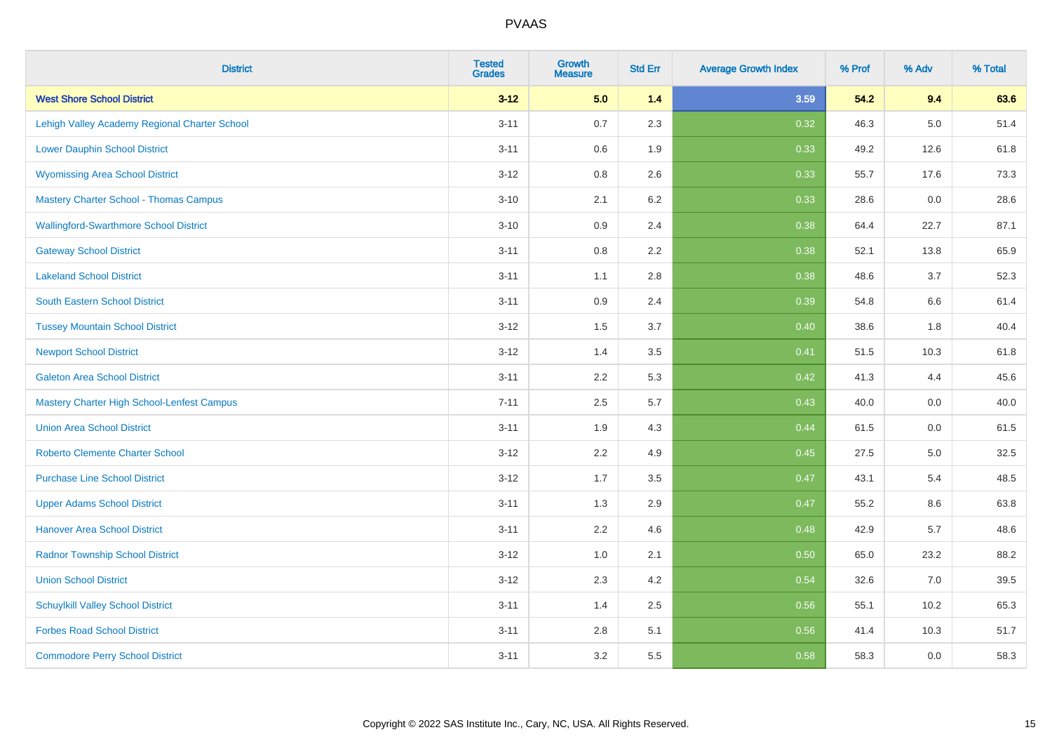| <b>District</b>                                   | <b>Tested</b><br><b>Grades</b> | <b>Growth</b><br><b>Measure</b> | <b>Std Err</b> | <b>Average Growth Index</b> | % Prof | % Adv   | % Total |
|---------------------------------------------------|--------------------------------|---------------------------------|----------------|-----------------------------|--------|---------|---------|
| <b>West Shore School District</b>                 | $3 - 12$                       | 5.0                             | 1.4            | 3.59                        | 54.2   | 9.4     | 63.6    |
| Lehigh Valley Academy Regional Charter School     | $3 - 11$                       | 0.7                             | 2.3            | 0.32                        | 46.3   | $5.0\,$ | 51.4    |
| <b>Lower Dauphin School District</b>              | $3 - 11$                       | 0.6                             | 1.9            | 0.33                        | 49.2   | 12.6    | 61.8    |
| <b>Wyomissing Area School District</b>            | $3 - 12$                       | 0.8                             | 2.6            | 0.33                        | 55.7   | 17.6    | 73.3    |
| <b>Mastery Charter School - Thomas Campus</b>     | $3 - 10$                       | 2.1                             | 6.2            | 0.33                        | 28.6   | 0.0     | 28.6    |
| <b>Wallingford-Swarthmore School District</b>     | $3 - 10$                       | 0.9                             | 2.4            | 0.38                        | 64.4   | 22.7    | 87.1    |
| <b>Gateway School District</b>                    | $3 - 11$                       | 0.8                             | 2.2            | 0.38                        | 52.1   | 13.8    | 65.9    |
| <b>Lakeland School District</b>                   | $3 - 11$                       | 1.1                             | 2.8            | 0.38                        | 48.6   | 3.7     | 52.3    |
| <b>South Eastern School District</b>              | $3 - 11$                       | 0.9                             | 2.4            | 0.39                        | 54.8   | 6.6     | 61.4    |
| <b>Tussey Mountain School District</b>            | $3 - 12$                       | 1.5                             | 3.7            | 0.40                        | 38.6   | 1.8     | 40.4    |
| <b>Newport School District</b>                    | $3 - 12$                       | 1.4                             | 3.5            | 0.41                        | 51.5   | 10.3    | 61.8    |
| <b>Galeton Area School District</b>               | $3 - 11$                       | 2.2                             | 5.3            | 0.42                        | 41.3   | 4.4     | 45.6    |
| <b>Mastery Charter High School-Lenfest Campus</b> | $7 - 11$                       | 2.5                             | 5.7            | 0.43                        | 40.0   | $0.0\,$ | 40.0    |
| <b>Union Area School District</b>                 | $3 - 11$                       | 1.9                             | 4.3            | 0.44                        | 61.5   | 0.0     | 61.5    |
| <b>Roberto Clemente Charter School</b>            | $3 - 12$                       | 2.2                             | 4.9            | $\boxed{0.45}$              | 27.5   | $5.0\,$ | 32.5    |
| <b>Purchase Line School District</b>              | $3 - 12$                       | 1.7                             | 3.5            | 0.47                        | 43.1   | 5.4     | 48.5    |
| <b>Upper Adams School District</b>                | $3 - 11$                       | 1.3                             | 2.9            | 0.47                        | 55.2   | 8.6     | 63.8    |
| <b>Hanover Area School District</b>               | $3 - 11$                       | 2.2                             | 4.6            | 0.48                        | 42.9   | 5.7     | 48.6    |
| <b>Radnor Township School District</b>            | $3 - 12$                       | 1.0                             | 2.1            | 0.50                        | 65.0   | 23.2    | 88.2    |
| <b>Union School District</b>                      | $3 - 12$                       | 2.3                             | 4.2            | 0.54                        | 32.6   | 7.0     | 39.5    |
| <b>Schuylkill Valley School District</b>          | $3 - 11$                       | 1.4                             | 2.5            | 0.56                        | 55.1   | 10.2    | 65.3    |
| <b>Forbes Road School District</b>                | $3 - 11$                       | 2.8                             | 5.1            | 0.56                        | 41.4   | 10.3    | 51.7    |
| <b>Commodore Perry School District</b>            | $3 - 11$                       | 3.2                             | 5.5            | 0.58                        | 58.3   | 0.0     | 58.3    |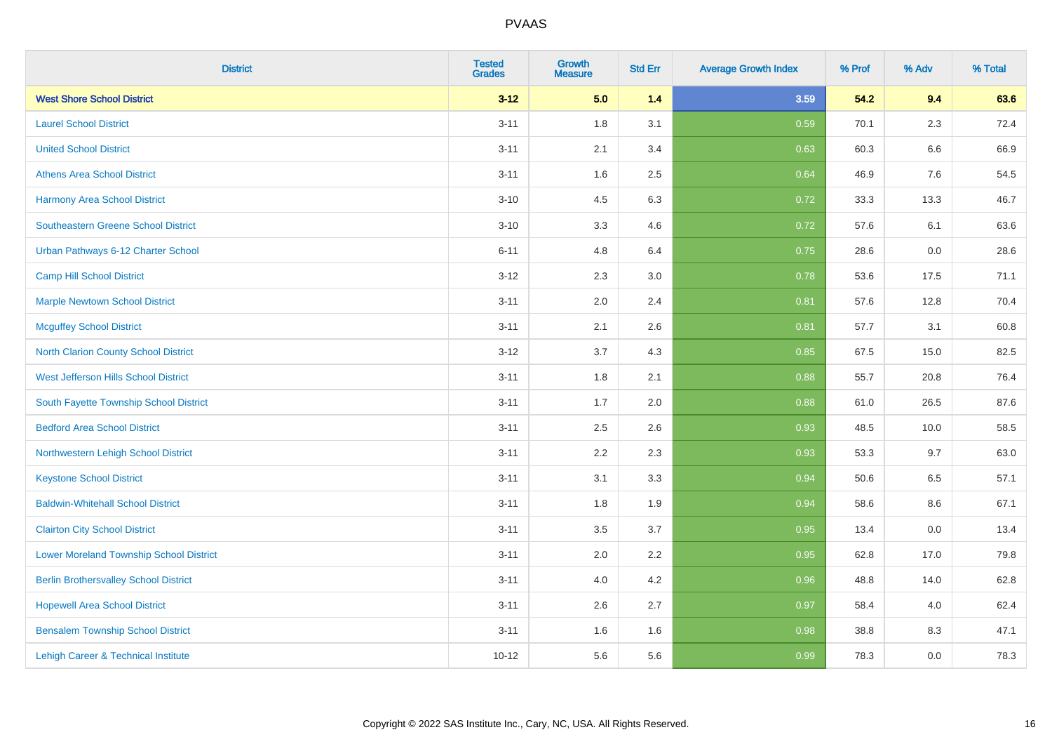| <b>District</b>                                | <b>Tested</b><br><b>Grades</b> | <b>Growth</b><br><b>Measure</b> | <b>Std Err</b> | <b>Average Growth Index</b> | % Prof | % Adv   | % Total |
|------------------------------------------------|--------------------------------|---------------------------------|----------------|-----------------------------|--------|---------|---------|
| <b>West Shore School District</b>              | $3 - 12$                       | 5.0                             | 1.4            | 3.59                        | 54.2   | 9.4     | 63.6    |
| <b>Laurel School District</b>                  | $3 - 11$                       | 1.8                             | 3.1            | 0.59                        | 70.1   | $2.3\,$ | 72.4    |
| <b>United School District</b>                  | $3 - 11$                       | 2.1                             | 3.4            | 0.63                        | 60.3   | 6.6     | 66.9    |
| <b>Athens Area School District</b>             | $3 - 11$                       | 1.6                             | 2.5            | 0.64                        | 46.9   | 7.6     | 54.5    |
| <b>Harmony Area School District</b>            | $3 - 10$                       | 4.5                             | 6.3            | 0.72                        | 33.3   | 13.3    | 46.7    |
| <b>Southeastern Greene School District</b>     | $3 - 10$                       | 3.3                             | 4.6            | 0.72                        | 57.6   | 6.1     | 63.6    |
| Urban Pathways 6-12 Charter School             | $6 - 11$                       | 4.8                             | 6.4            | 0.75                        | 28.6   | 0.0     | 28.6    |
| <b>Camp Hill School District</b>               | $3 - 12$                       | 2.3                             | 3.0            | 0.78                        | 53.6   | 17.5    | 71.1    |
| <b>Marple Newtown School District</b>          | $3 - 11$                       | 2.0                             | 2.4            | 0.81                        | 57.6   | 12.8    | 70.4    |
| <b>Mcguffey School District</b>                | $3 - 11$                       | 2.1                             | 2.6            | 0.81                        | 57.7   | 3.1     | 60.8    |
| North Clarion County School District           | $3 - 12$                       | 3.7                             | 4.3            | 0.85                        | 67.5   | 15.0    | 82.5    |
| <b>West Jefferson Hills School District</b>    | $3 - 11$                       | 1.8                             | 2.1            | 0.88                        | 55.7   | 20.8    | 76.4    |
| South Fayette Township School District         | $3 - 11$                       | 1.7                             | 2.0            | 0.88                        | 61.0   | 26.5    | 87.6    |
| <b>Bedford Area School District</b>            | $3 - 11$                       | 2.5                             | 2.6            | 0.93                        | 48.5   | 10.0    | 58.5    |
| Northwestern Lehigh School District            | $3 - 11$                       | 2.2                             | 2.3            | 0.93                        | 53.3   | 9.7     | 63.0    |
| <b>Keystone School District</b>                | $3 - 11$                       | 3.1                             | 3.3            | 0.94                        | 50.6   | 6.5     | 57.1    |
| <b>Baldwin-Whitehall School District</b>       | $3 - 11$                       | 1.8                             | 1.9            | 0.94                        | 58.6   | 8.6     | 67.1    |
| <b>Clairton City School District</b>           | $3 - 11$                       | 3.5                             | 3.7            | 0.95                        | 13.4   | 0.0     | 13.4    |
| <b>Lower Moreland Township School District</b> | $3 - 11$                       | 2.0                             | 2.2            | 0.95                        | 62.8   | 17.0    | 79.8    |
| <b>Berlin Brothersvalley School District</b>   | $3 - 11$                       | 4.0                             | 4.2            | 0.96                        | 48.8   | 14.0    | 62.8    |
| <b>Hopewell Area School District</b>           | $3 - 11$                       | 2.6                             | 2.7            | 0.97                        | 58.4   | 4.0     | 62.4    |
| <b>Bensalem Township School District</b>       | $3 - 11$                       | 1.6                             | 1.6            | 0.98                        | 38.8   | 8.3     | 47.1    |
| Lehigh Career & Technical Institute            | $10 - 12$                      | 5.6                             | 5.6            | 0.99                        | 78.3   | 0.0     | 78.3    |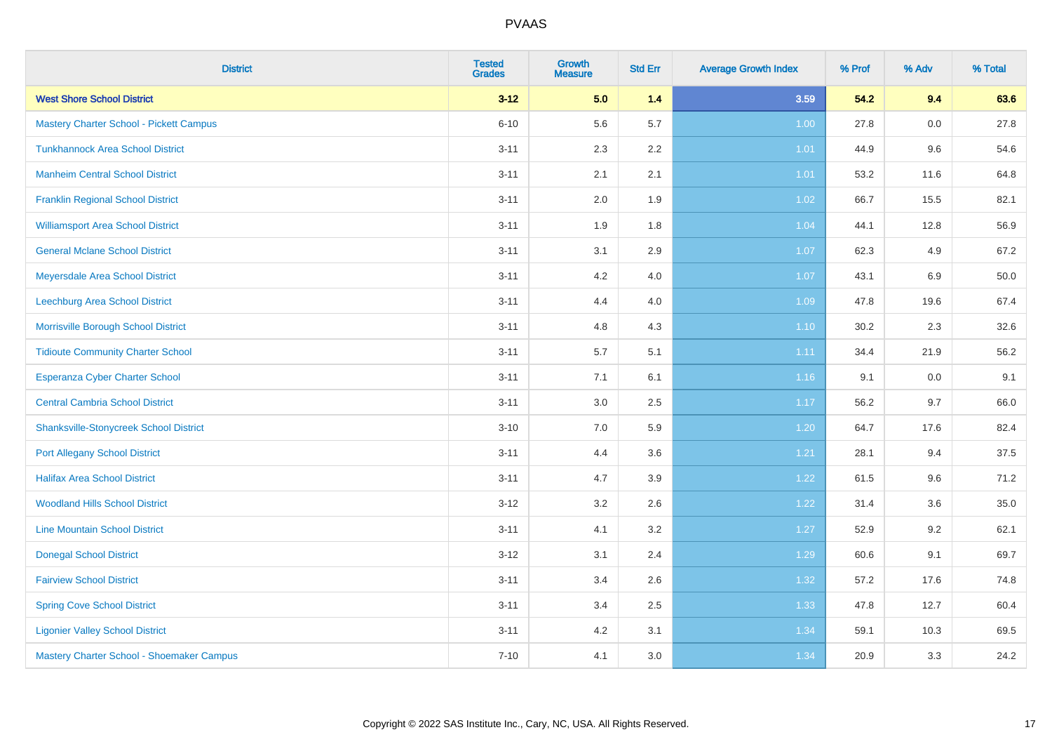| <b>District</b>                                | <b>Tested</b><br><b>Grades</b> | <b>Growth</b><br><b>Measure</b> | <b>Std Err</b> | <b>Average Growth Index</b> | % Prof | % Adv | % Total |
|------------------------------------------------|--------------------------------|---------------------------------|----------------|-----------------------------|--------|-------|---------|
| <b>West Shore School District</b>              | $3 - 12$                       | 5.0                             | $1.4$          | 3.59                        | 54.2   | 9.4   | 63.6    |
| <b>Mastery Charter School - Pickett Campus</b> | $6 - 10$                       | 5.6                             | 5.7            | 1.00                        | 27.8   | 0.0   | 27.8    |
| <b>Tunkhannock Area School District</b>        | $3 - 11$                       | 2.3                             | 2.2            | 1.01                        | 44.9   | 9.6   | 54.6    |
| <b>Manheim Central School District</b>         | $3 - 11$                       | 2.1                             | 2.1            | 1.01                        | 53.2   | 11.6  | 64.8    |
| <b>Franklin Regional School District</b>       | $3 - 11$                       | 2.0                             | 1.9            | 1.02                        | 66.7   | 15.5  | 82.1    |
| <b>Williamsport Area School District</b>       | $3 - 11$                       | 1.9                             | 1.8            | 1.04                        | 44.1   | 12.8  | 56.9    |
| <b>General Mclane School District</b>          | $3 - 11$                       | 3.1                             | 2.9            | 1.07                        | 62.3   | 4.9   | 67.2    |
| Meyersdale Area School District                | $3 - 11$                       | 4.2                             | 4.0            | 1.07                        | 43.1   | 6.9   | 50.0    |
| Leechburg Area School District                 | $3 - 11$                       | 4.4                             | 4.0            | 1.09                        | 47.8   | 19.6  | 67.4    |
| Morrisville Borough School District            | $3 - 11$                       | 4.8                             | 4.3            | 1.10                        | 30.2   | 2.3   | 32.6    |
| <b>Tidioute Community Charter School</b>       | $3 - 11$                       | 5.7                             | 5.1            | 1.11                        | 34.4   | 21.9  | 56.2    |
| Esperanza Cyber Charter School                 | $3 - 11$                       | 7.1                             | 6.1            | 1.16                        | 9.1    | 0.0   | 9.1     |
| <b>Central Cambria School District</b>         | $3 - 11$                       | 3.0                             | 2.5            | 1.17                        | 56.2   | 9.7   | 66.0    |
| <b>Shanksville-Stonycreek School District</b>  | $3 - 10$                       | 7.0                             | 5.9            | 1.20                        | 64.7   | 17.6  | 82.4    |
| <b>Port Allegany School District</b>           | $3 - 11$                       | 4.4                             | 3.6            | 1.21                        | 28.1   | 9.4   | 37.5    |
| <b>Halifax Area School District</b>            | $3 - 11$                       | 4.7                             | 3.9            | 1.22                        | 61.5   | 9.6   | 71.2    |
| <b>Woodland Hills School District</b>          | $3 - 12$                       | 3.2                             | 2.6            | 1.22                        | 31.4   | 3.6   | 35.0    |
| <b>Line Mountain School District</b>           | $3 - 11$                       | 4.1                             | 3.2            | 1.27                        | 52.9   | 9.2   | 62.1    |
| <b>Donegal School District</b>                 | $3 - 12$                       | 3.1                             | 2.4            | 1.29                        | 60.6   | 9.1   | 69.7    |
| <b>Fairview School District</b>                | $3 - 11$                       | 3.4                             | 2.6            | 1.32                        | 57.2   | 17.6  | 74.8    |
| <b>Spring Cove School District</b>             | $3 - 11$                       | 3.4                             | 2.5            | 1.33                        | 47.8   | 12.7  | 60.4    |
| <b>Ligonier Valley School District</b>         | $3 - 11$                       | 4.2                             | 3.1            | 1.34                        | 59.1   | 10.3  | 69.5    |
| Mastery Charter School - Shoemaker Campus      | $7 - 10$                       | 4.1                             | 3.0            | 1.34                        | 20.9   | 3.3   | 24.2    |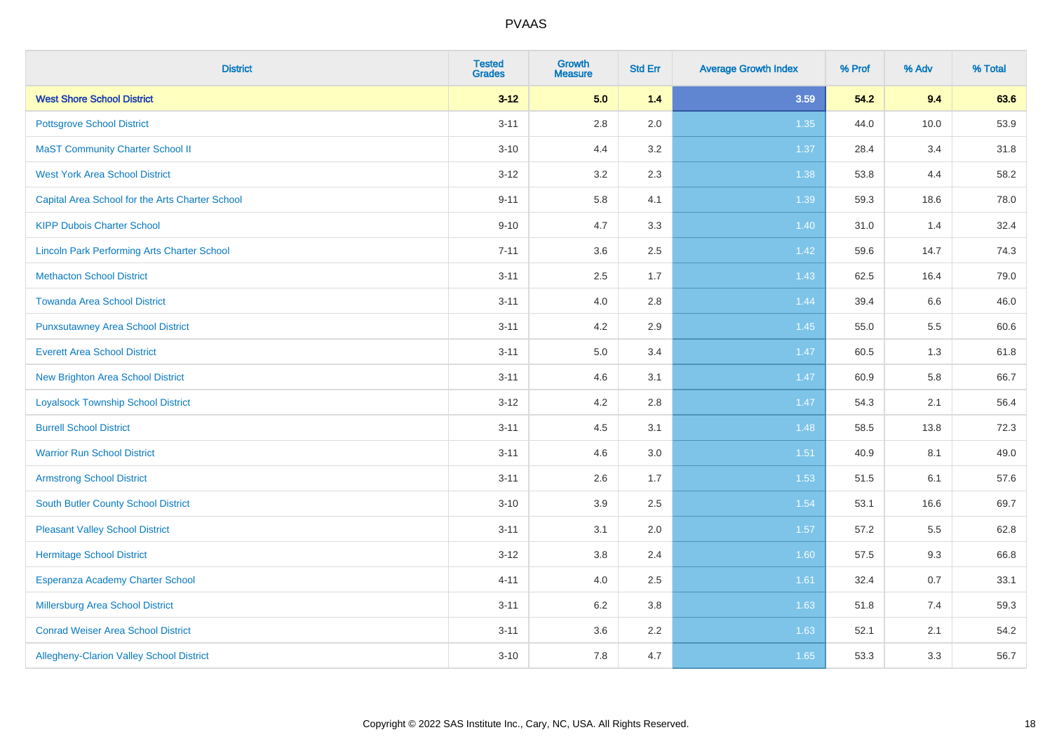| <b>District</b>                                    | <b>Tested</b><br><b>Grades</b> | <b>Growth</b><br><b>Measure</b> | <b>Std Err</b> | <b>Average Growth Index</b> | % Prof | % Adv | % Total |
|----------------------------------------------------|--------------------------------|---------------------------------|----------------|-----------------------------|--------|-------|---------|
| <b>West Shore School District</b>                  | $3 - 12$                       | 5.0                             | 1.4            | 3.59                        | 54.2   | 9.4   | 63.6    |
| <b>Pottsgrove School District</b>                  | $3 - 11$                       | 2.8                             | 2.0            | 1.35                        | 44.0   | 10.0  | 53.9    |
| <b>MaST Community Charter School II</b>            | $3 - 10$                       | 4.4                             | 3.2            | 1.37                        | 28.4   | 3.4   | 31.8    |
| <b>West York Area School District</b>              | $3 - 12$                       | 3.2                             | 2.3            | 1.38                        | 53.8   | 4.4   | 58.2    |
| Capital Area School for the Arts Charter School    | $9 - 11$                       | 5.8                             | 4.1            | 1.39                        | 59.3   | 18.6  | 78.0    |
| <b>KIPP Dubois Charter School</b>                  | $9 - 10$                       | 4.7                             | 3.3            | 1.40                        | 31.0   | 1.4   | 32.4    |
| <b>Lincoln Park Performing Arts Charter School</b> | $7 - 11$                       | 3.6                             | 2.5            | 1.42                        | 59.6   | 14.7  | 74.3    |
| <b>Methacton School District</b>                   | $3 - 11$                       | 2.5                             | 1.7            | 1.43                        | 62.5   | 16.4  | 79.0    |
| <b>Towanda Area School District</b>                | $3 - 11$                       | 4.0                             | 2.8            | 1.44                        | 39.4   | 6.6   | 46.0    |
| <b>Punxsutawney Area School District</b>           | $3 - 11$                       | 4.2                             | 2.9            | 1.45                        | 55.0   | 5.5   | 60.6    |
| <b>Everett Area School District</b>                | $3 - 11$                       | 5.0                             | 3.4            | 1.47                        | 60.5   | 1.3   | 61.8    |
| <b>New Brighton Area School District</b>           | $3 - 11$                       | 4.6                             | 3.1            | 1.47                        | 60.9   | 5.8   | 66.7    |
| <b>Loyalsock Township School District</b>          | $3 - 12$                       | 4.2                             | 2.8            | 1.47                        | 54.3   | 2.1   | 56.4    |
| <b>Burrell School District</b>                     | $3 - 11$                       | 4.5                             | 3.1            | 1.48                        | 58.5   | 13.8  | 72.3    |
| <b>Warrior Run School District</b>                 | $3 - 11$                       | 4.6                             | 3.0            | 1.51                        | 40.9   | 8.1   | 49.0    |
| <b>Armstrong School District</b>                   | $3 - 11$                       | 2.6                             | 1.7            | 1.53                        | 51.5   | 6.1   | 57.6    |
| <b>South Butler County School District</b>         | $3 - 10$                       | 3.9                             | 2.5            | 1.54                        | 53.1   | 16.6  | 69.7    |
| <b>Pleasant Valley School District</b>             | $3 - 11$                       | 3.1                             | 2.0            | 1.57                        | 57.2   | 5.5   | 62.8    |
| <b>Hermitage School District</b>                   | $3 - 12$                       | 3.8                             | 2.4            | 1.60                        | 57.5   | 9.3   | 66.8    |
| Esperanza Academy Charter School                   | $4 - 11$                       | 4.0                             | 2.5            | 1.61                        | 32.4   | 0.7   | 33.1    |
| <b>Millersburg Area School District</b>            | $3 - 11$                       | 6.2                             | 3.8            | 1.63                        | 51.8   | 7.4   | 59.3    |
| <b>Conrad Weiser Area School District</b>          | $3 - 11$                       | 3.6                             | 2.2            | 1.63                        | 52.1   | 2.1   | 54.2    |
| Allegheny-Clarion Valley School District           | $3 - 10$                       | 7.8                             | 4.7            | 1.65                        | 53.3   | 3.3   | 56.7    |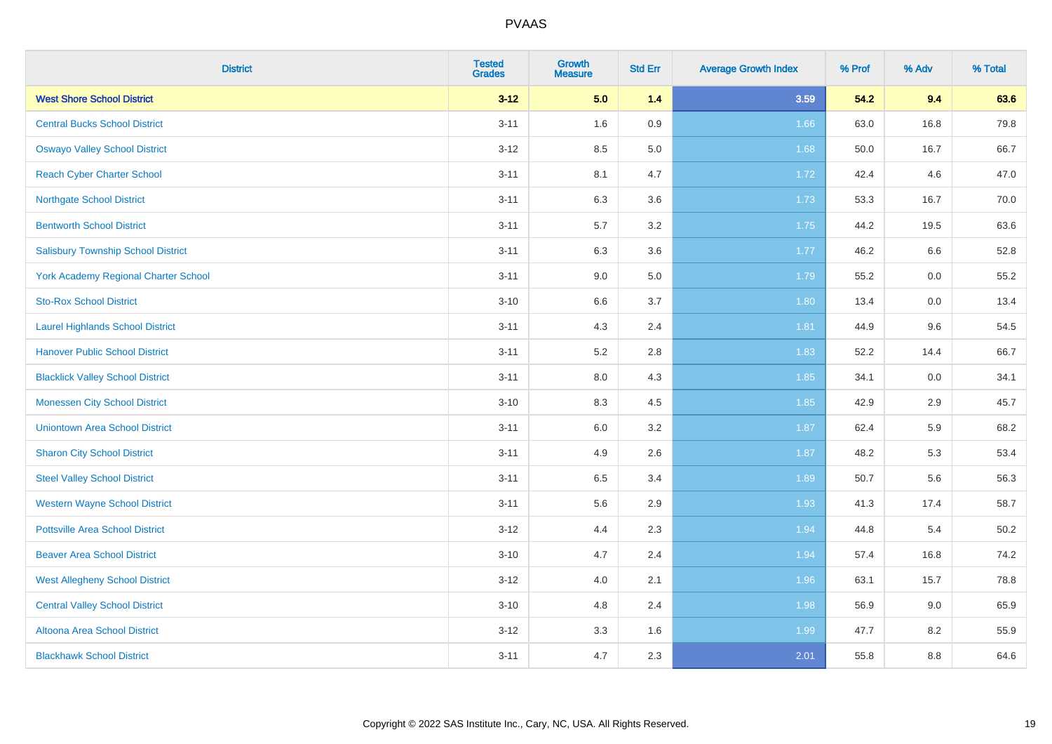| <b>District</b>                             | <b>Tested</b><br><b>Grades</b> | <b>Growth</b><br><b>Measure</b> | <b>Std Err</b> | <b>Average Growth Index</b> | % Prof | % Adv   | % Total |
|---------------------------------------------|--------------------------------|---------------------------------|----------------|-----------------------------|--------|---------|---------|
| <b>West Shore School District</b>           | $3 - 12$                       | 5.0                             | 1.4            | 3.59                        | 54.2   | 9.4     | 63.6    |
| <b>Central Bucks School District</b>        | $3 - 11$                       | 1.6                             | 0.9            | 1.66                        | 63.0   | 16.8    | 79.8    |
| <b>Oswayo Valley School District</b>        | $3-12$                         | 8.5                             | 5.0            | 1.68                        | 50.0   | 16.7    | 66.7    |
| <b>Reach Cyber Charter School</b>           | $3 - 11$                       | 8.1                             | 4.7            | 1.72                        | 42.4   | 4.6     | 47.0    |
| <b>Northgate School District</b>            | $3 - 11$                       | 6.3                             | 3.6            | 1.73                        | 53.3   | 16.7    | 70.0    |
| <b>Bentworth School District</b>            | $3 - 11$                       | 5.7                             | 3.2            | 1.75                        | 44.2   | 19.5    | 63.6    |
| <b>Salisbury Township School District</b>   | $3 - 11$                       | 6.3                             | 3.6            | 1.77                        | 46.2   | 6.6     | 52.8    |
| <b>York Academy Regional Charter School</b> | $3 - 11$                       | 9.0                             | 5.0            | 1.79                        | 55.2   | 0.0     | 55.2    |
| <b>Sto-Rox School District</b>              | $3 - 10$                       | 6.6                             | 3.7            | 1.80                        | 13.4   | $0.0\,$ | 13.4    |
| <b>Laurel Highlands School District</b>     | $3 - 11$                       | 4.3                             | 2.4            | 1.81                        | 44.9   | 9.6     | 54.5    |
| <b>Hanover Public School District</b>       | $3 - 11$                       | 5.2                             | 2.8            | 1.83                        | 52.2   | 14.4    | 66.7    |
| <b>Blacklick Valley School District</b>     | $3 - 11$                       | 8.0                             | 4.3            | 1.85                        | 34.1   | 0.0     | 34.1    |
| <b>Monessen City School District</b>        | $3 - 10$                       | 8.3                             | 4.5            | 1.85                        | 42.9   | 2.9     | 45.7    |
| <b>Uniontown Area School District</b>       | $3 - 11$                       | 6.0                             | 3.2            | 1.87                        | 62.4   | 5.9     | 68.2    |
| <b>Sharon City School District</b>          | $3 - 11$                       | 4.9                             | 2.6            | 1.87                        | 48.2   | 5.3     | 53.4    |
| <b>Steel Valley School District</b>         | $3 - 11$                       | 6.5                             | 3.4            | 1.89                        | 50.7   | 5.6     | 56.3    |
| <b>Western Wayne School District</b>        | $3 - 11$                       | 5.6                             | 2.9            | 1.93                        | 41.3   | 17.4    | 58.7    |
| <b>Pottsville Area School District</b>      | $3-12$                         | 4.4                             | 2.3            | 1.94                        | 44.8   | 5.4     | 50.2    |
| <b>Beaver Area School District</b>          | $3 - 10$                       | 4.7                             | 2.4            | 1.94                        | 57.4   | 16.8    | 74.2    |
| <b>West Allegheny School District</b>       | $3-12$                         | 4.0                             | 2.1            | 1.96                        | 63.1   | 15.7    | 78.8    |
| <b>Central Valley School District</b>       | $3 - 10$                       | 4.8                             | 2.4            | 1.98                        | 56.9   | 9.0     | 65.9    |
| Altoona Area School District                | $3 - 12$                       | 3.3                             | 1.6            | 1.99                        | 47.7   | 8.2     | 55.9    |
| <b>Blackhawk School District</b>            | $3 - 11$                       | 4.7                             | 2.3            | 2.01                        | 55.8   | 8.8     | 64.6    |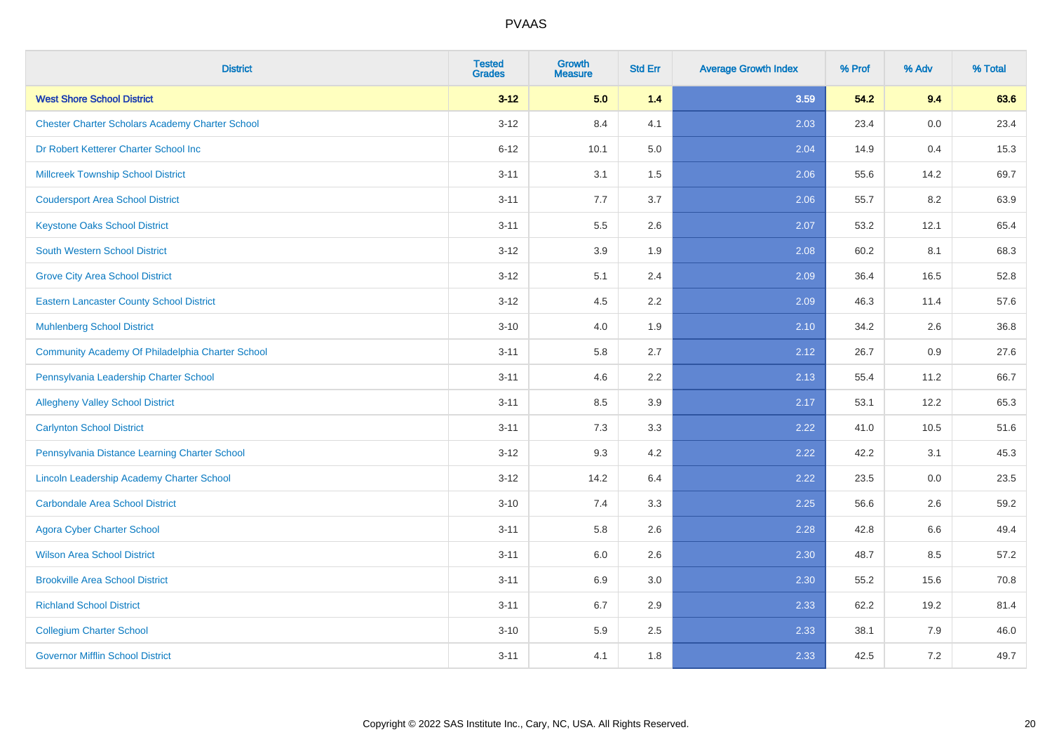| <b>District</b>                                        | <b>Tested</b><br><b>Grades</b> | <b>Growth</b><br><b>Measure</b> | <b>Std Err</b> | <b>Average Growth Index</b> | % Prof | % Adv | % Total |
|--------------------------------------------------------|--------------------------------|---------------------------------|----------------|-----------------------------|--------|-------|---------|
| <b>West Shore School District</b>                      | $3 - 12$                       | 5.0                             | 1.4            | 3.59                        | 54.2   | 9.4   | 63.6    |
| <b>Chester Charter Scholars Academy Charter School</b> | $3 - 12$                       | 8.4                             | 4.1            | 2.03                        | 23.4   | 0.0   | 23.4    |
| Dr Robert Ketterer Charter School Inc                  | $6 - 12$                       | 10.1                            | 5.0            | 2.04                        | 14.9   | 0.4   | 15.3    |
| <b>Millcreek Township School District</b>              | $3 - 11$                       | 3.1                             | 1.5            | 2.06                        | 55.6   | 14.2  | 69.7    |
| <b>Coudersport Area School District</b>                | $3 - 11$                       | 7.7                             | 3.7            | 2.06                        | 55.7   | 8.2   | 63.9    |
| <b>Keystone Oaks School District</b>                   | $3 - 11$                       | 5.5                             | 2.6            | 2.07                        | 53.2   | 12.1  | 65.4    |
| South Western School District                          | $3 - 12$                       | 3.9                             | 1.9            | 2.08                        | 60.2   | 8.1   | 68.3    |
| <b>Grove City Area School District</b>                 | $3 - 12$                       | 5.1                             | 2.4            | 2.09                        | 36.4   | 16.5  | 52.8    |
| <b>Eastern Lancaster County School District</b>        | $3 - 12$                       | 4.5                             | 2.2            | 2.09                        | 46.3   | 11.4  | 57.6    |
| <b>Muhlenberg School District</b>                      | $3 - 10$                       | 4.0                             | 1.9            | 2.10                        | 34.2   | 2.6   | 36.8    |
| Community Academy Of Philadelphia Charter School       | $3 - 11$                       | 5.8                             | 2.7            | 2.12                        | 26.7   | 0.9   | 27.6    |
| Pennsylvania Leadership Charter School                 | $3 - 11$                       | 4.6                             | 2.2            | 2.13                        | 55.4   | 11.2  | 66.7    |
| <b>Allegheny Valley School District</b>                | $3 - 11$                       | 8.5                             | 3.9            | 2.17                        | 53.1   | 12.2  | 65.3    |
| <b>Carlynton School District</b>                       | $3 - 11$                       | 7.3                             | 3.3            | 2.22                        | 41.0   | 10.5  | 51.6    |
| Pennsylvania Distance Learning Charter School          | $3 - 12$                       | 9.3                             | 4.2            | 2.22                        | 42.2   | 3.1   | 45.3    |
| Lincoln Leadership Academy Charter School              | $3 - 12$                       | 14.2                            | 6.4            | 2.22                        | 23.5   | 0.0   | 23.5    |
| <b>Carbondale Area School District</b>                 | $3 - 10$                       | 7.4                             | 3.3            | 2.25                        | 56.6   | 2.6   | 59.2    |
| <b>Agora Cyber Charter School</b>                      | $3 - 11$                       | 5.8                             | 2.6            | 2.28                        | 42.8   | 6.6   | 49.4    |
| <b>Wilson Area School District</b>                     | $3 - 11$                       | 6.0                             | 2.6            | 2.30                        | 48.7   | 8.5   | 57.2    |
| <b>Brookville Area School District</b>                 | $3 - 11$                       | 6.9                             | 3.0            | 2.30                        | 55.2   | 15.6  | 70.8    |
| <b>Richland School District</b>                        | $3 - 11$                       | 6.7                             | 2.9            | 2.33                        | 62.2   | 19.2  | 81.4    |
| <b>Collegium Charter School</b>                        | $3 - 10$                       | 5.9                             | 2.5            | 2.33                        | 38.1   | 7.9   | 46.0    |
| <b>Governor Mifflin School District</b>                | $3 - 11$                       | 4.1                             | 1.8            | 2.33                        | 42.5   | 7.2   | 49.7    |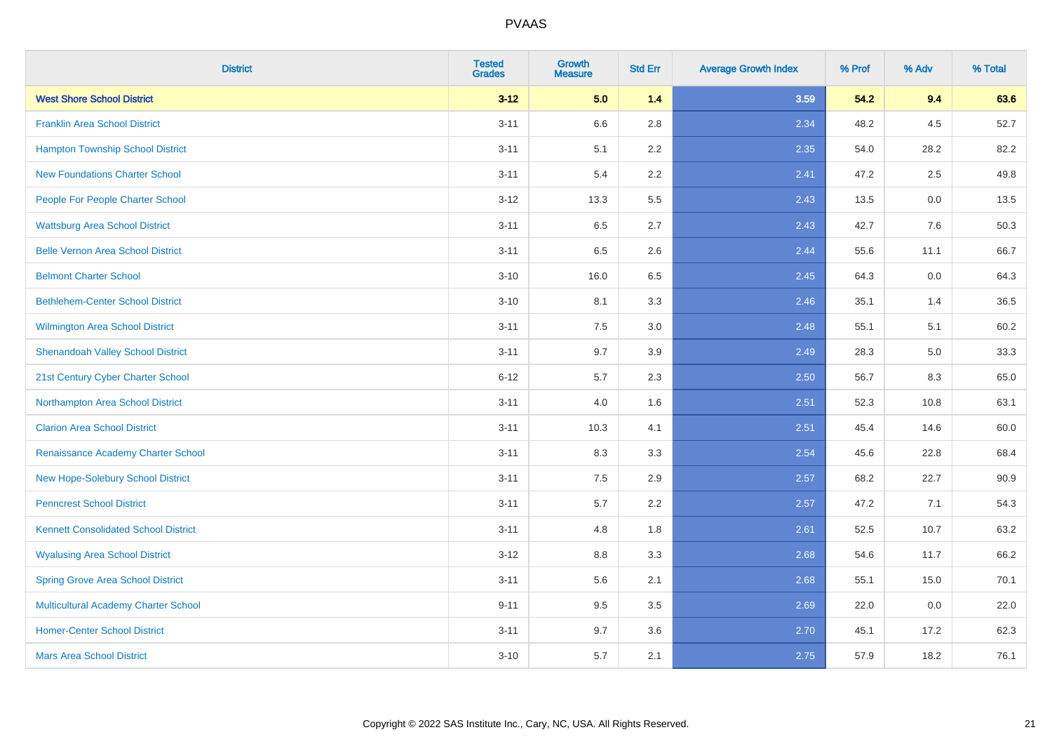| <b>District</b>                             | <b>Tested</b><br><b>Grades</b> | <b>Growth</b><br><b>Measure</b> | <b>Std Err</b> | <b>Average Growth Index</b> | % Prof | % Adv | % Total |
|---------------------------------------------|--------------------------------|---------------------------------|----------------|-----------------------------|--------|-------|---------|
| <b>West Shore School District</b>           | $3 - 12$                       | 5.0                             | 1.4            | 3.59                        | 54.2   | 9.4   | 63.6    |
| <b>Franklin Area School District</b>        | $3 - 11$                       | 6.6                             | 2.8            | 2.34                        | 48.2   | 4.5   | 52.7    |
| <b>Hampton Township School District</b>     | $3 - 11$                       | 5.1                             | 2.2            | 2.35                        | 54.0   | 28.2  | 82.2    |
| <b>New Foundations Charter School</b>       | $3 - 11$                       | 5.4                             | 2.2            | 2.41                        | 47.2   | 2.5   | 49.8    |
| People For People Charter School            | $3 - 12$                       | 13.3                            | 5.5            | 2.43                        | 13.5   | 0.0   | 13.5    |
| <b>Wattsburg Area School District</b>       | $3 - 11$                       | 6.5                             | 2.7            | 2.43                        | 42.7   | 7.6   | 50.3    |
| <b>Belle Vernon Area School District</b>    | $3 - 11$                       | 6.5                             | 2.6            | 2.44                        | 55.6   | 11.1  | 66.7    |
| <b>Belmont Charter School</b>               | $3 - 10$                       | 16.0                            | 6.5            | 2.45                        | 64.3   | 0.0   | 64.3    |
| <b>Bethlehem-Center School District</b>     | $3 - 10$                       | 8.1                             | 3.3            | 2.46                        | 35.1   | 1.4   | 36.5    |
| <b>Wilmington Area School District</b>      | $3 - 11$                       | 7.5                             | 3.0            | 2.48                        | 55.1   | 5.1   | 60.2    |
| <b>Shenandoah Valley School District</b>    | $3 - 11$                       | 9.7                             | 3.9            | 2.49                        | 28.3   | 5.0   | 33.3    |
| 21st Century Cyber Charter School           | $6 - 12$                       | 5.7                             | 2.3            | 2.50                        | 56.7   | 8.3   | 65.0    |
| Northampton Area School District            | $3 - 11$                       | 4.0                             | 1.6            | 2.51                        | 52.3   | 10.8  | 63.1    |
| <b>Clarion Area School District</b>         | $3 - 11$                       | 10.3                            | 4.1            | 2.51                        | 45.4   | 14.6  | 60.0    |
| Renaissance Academy Charter School          | $3 - 11$                       | 8.3                             | 3.3            | 2.54                        | 45.6   | 22.8  | 68.4    |
| New Hope-Solebury School District           | $3 - 11$                       | $7.5\,$                         | 2.9            | 2.57                        | 68.2   | 22.7  | 90.9    |
| <b>Penncrest School District</b>            | $3 - 11$                       | 5.7                             | 2.2            | 2.57                        | 47.2   | 7.1   | 54.3    |
| <b>Kennett Consolidated School District</b> | $3 - 11$                       | 4.8                             | 1.8            | 2.61                        | 52.5   | 10.7  | 63.2    |
| <b>Wyalusing Area School District</b>       | $3 - 12$                       | $8.8\,$                         | 3.3            | 2.68                        | 54.6   | 11.7  | 66.2    |
| <b>Spring Grove Area School District</b>    | $3 - 11$                       | 5.6                             | 2.1            | 2.68                        | 55.1   | 15.0  | 70.1    |
| <b>Multicultural Academy Charter School</b> | $9 - 11$                       | 9.5                             | 3.5            | 2.69                        | 22.0   | 0.0   | 22.0    |
| <b>Homer-Center School District</b>         | $3 - 11$                       | 9.7                             | 3.6            | 2.70                        | 45.1   | 17.2  | 62.3    |
| <b>Mars Area School District</b>            | $3 - 10$                       | 5.7                             | 2.1            | 2.75                        | 57.9   | 18.2  | 76.1    |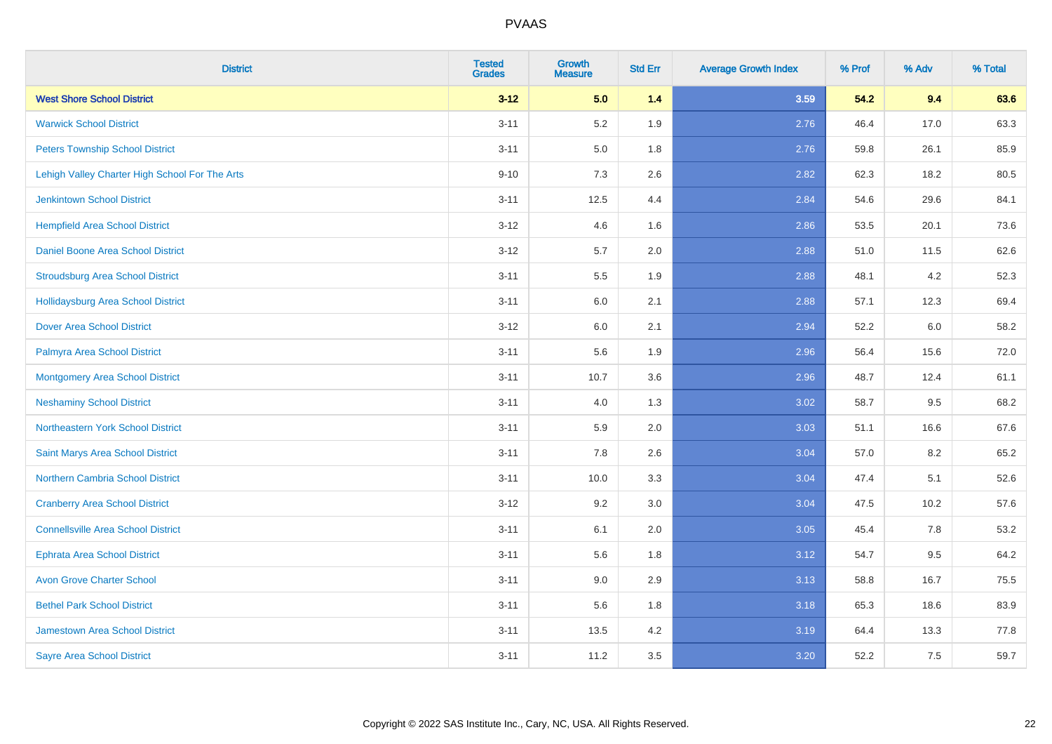| <b>District</b>                                | <b>Tested</b><br><b>Grades</b> | <b>Growth</b><br><b>Measure</b> | <b>Std Err</b> | <b>Average Growth Index</b> | % Prof | % Adv | % Total |
|------------------------------------------------|--------------------------------|---------------------------------|----------------|-----------------------------|--------|-------|---------|
| <b>West Shore School District</b>              | $3 - 12$                       | 5.0                             | 1.4            | 3.59                        | 54.2   | 9.4   | 63.6    |
| <b>Warwick School District</b>                 | $3 - 11$                       | 5.2                             | 1.9            | 2.76                        | 46.4   | 17.0  | 63.3    |
| <b>Peters Township School District</b>         | $3 - 11$                       | 5.0                             | 1.8            | 2.76                        | 59.8   | 26.1  | 85.9    |
| Lehigh Valley Charter High School For The Arts | $9 - 10$                       | $7.3$                           | 2.6            | 2.82                        | 62.3   | 18.2  | 80.5    |
| <b>Jenkintown School District</b>              | $3 - 11$                       | 12.5                            | 4.4            | 2.84                        | 54.6   | 29.6  | 84.1    |
| <b>Hempfield Area School District</b>          | $3 - 12$                       | 4.6                             | 1.6            | 2.86                        | 53.5   | 20.1  | 73.6    |
| Daniel Boone Area School District              | $3 - 12$                       | 5.7                             | 2.0            | 2.88                        | 51.0   | 11.5  | 62.6    |
| <b>Stroudsburg Area School District</b>        | $3 - 11$                       | 5.5                             | 1.9            | 2.88                        | 48.1   | 4.2   | 52.3    |
| <b>Hollidaysburg Area School District</b>      | $3 - 11$                       | 6.0                             | 2.1            | 2.88                        | 57.1   | 12.3  | 69.4    |
| <b>Dover Area School District</b>              | $3-12$                         | 6.0                             | 2.1            | 2.94                        | 52.2   | 6.0   | 58.2    |
| Palmyra Area School District                   | $3 - 11$                       | 5.6                             | 1.9            | 2.96                        | 56.4   | 15.6  | 72.0    |
| <b>Montgomery Area School District</b>         | $3 - 11$                       | 10.7                            | 3.6            | 2.96                        | 48.7   | 12.4  | 61.1    |
| <b>Neshaminy School District</b>               | $3 - 11$                       | 4.0                             | 1.3            | 3.02                        | 58.7   | 9.5   | 68.2    |
| Northeastern York School District              | $3 - 11$                       | 5.9                             | 2.0            | 3.03                        | 51.1   | 16.6  | 67.6    |
| Saint Marys Area School District               | $3 - 11$                       | 7.8                             | 2.6            | 3.04                        | 57.0   | 8.2   | 65.2    |
| <b>Northern Cambria School District</b>        | $3 - 11$                       | 10.0                            | 3.3            | 3.04                        | 47.4   | 5.1   | 52.6    |
| <b>Cranberry Area School District</b>          | $3-12$                         | 9.2                             | 3.0            | 3.04                        | 47.5   | 10.2  | 57.6    |
| <b>Connellsville Area School District</b>      | $3 - 11$                       | 6.1                             | 2.0            | 3.05                        | 45.4   | 7.8   | 53.2    |
| <b>Ephrata Area School District</b>            | $3 - 11$                       | 5.6                             | 1.8            | 3.12                        | 54.7   | 9.5   | 64.2    |
| <b>Avon Grove Charter School</b>               | $3 - 11$                       | 9.0                             | 2.9            | 3.13                        | 58.8   | 16.7  | 75.5    |
| <b>Bethel Park School District</b>             | $3 - 11$                       | 5.6                             | 1.8            | 3.18                        | 65.3   | 18.6  | 83.9    |
| <b>Jamestown Area School District</b>          | $3 - 11$                       | 13.5                            | 4.2            | 3.19                        | 64.4   | 13.3  | 77.8    |
| <b>Sayre Area School District</b>              | $3 - 11$                       | 11.2                            | 3.5            | 3.20                        | 52.2   | 7.5   | 59.7    |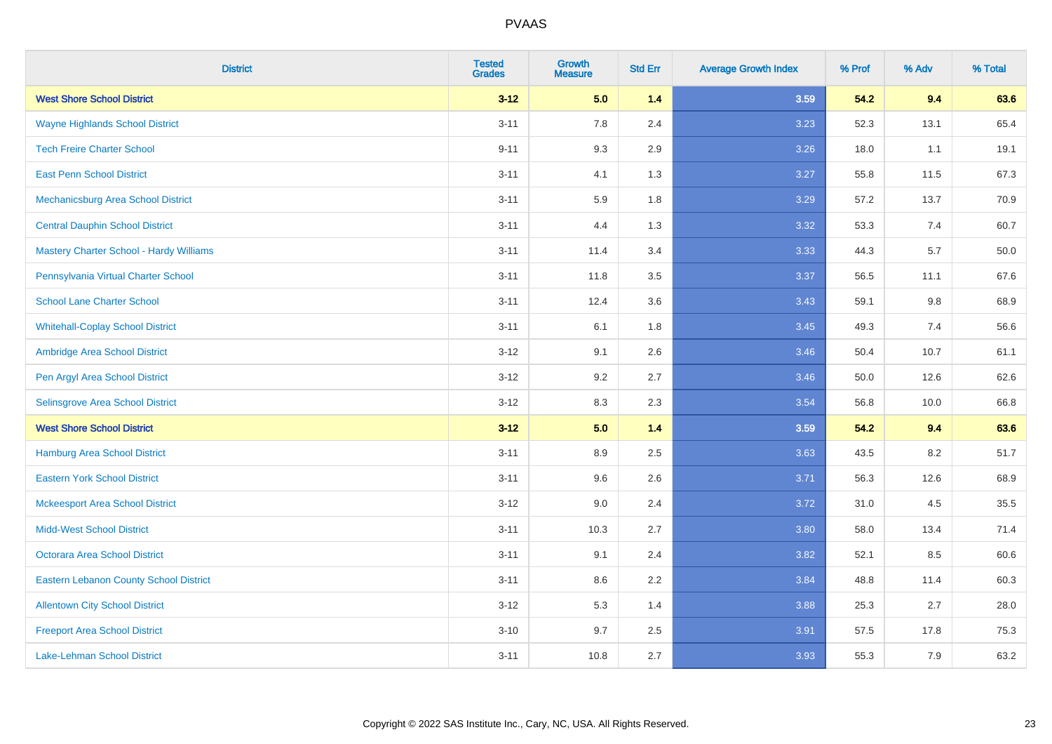| <b>District</b>                               | <b>Tested</b><br><b>Grades</b> | Growth<br><b>Measure</b> | <b>Std Err</b> | <b>Average Growth Index</b> | % Prof | % Adv   | % Total |
|-----------------------------------------------|--------------------------------|--------------------------|----------------|-----------------------------|--------|---------|---------|
| <b>West Shore School District</b>             | $3 - 12$                       | 5.0                      | $1.4$          | 3.59                        | 54.2   | 9.4     | 63.6    |
| <b>Wayne Highlands School District</b>        | $3 - 11$                       | 7.8                      | 2.4            | 3.23                        | 52.3   | 13.1    | 65.4    |
| <b>Tech Freire Charter School</b>             | $9 - 11$                       | 9.3                      | 2.9            | 3.26                        | 18.0   | 1.1     | 19.1    |
| <b>East Penn School District</b>              | $3 - 11$                       | 4.1                      | 1.3            | 3.27                        | 55.8   | 11.5    | 67.3    |
| Mechanicsburg Area School District            | $3 - 11$                       | 5.9                      | 1.8            | 3.29                        | 57.2   | 13.7    | 70.9    |
| <b>Central Dauphin School District</b>        | $3 - 11$                       | 4.4                      | 1.3            | 3.32                        | 53.3   | 7.4     | 60.7    |
| Mastery Charter School - Hardy Williams       | $3 - 11$                       | 11.4                     | 3.4            | 3.33                        | 44.3   | 5.7     | 50.0    |
| Pennsylvania Virtual Charter School           | $3 - 11$                       | 11.8                     | 3.5            | 3.37                        | 56.5   | 11.1    | 67.6    |
| <b>School Lane Charter School</b>             | $3 - 11$                       | 12.4                     | 3.6            | 3.43                        | 59.1   | 9.8     | 68.9    |
| <b>Whitehall-Coplay School District</b>       | $3 - 11$                       | 6.1                      | 1.8            | 3.45                        | 49.3   | 7.4     | 56.6    |
| Ambridge Area School District                 | $3 - 12$                       | 9.1                      | 2.6            | 3.46                        | 50.4   | 10.7    | 61.1    |
| Pen Argyl Area School District                | $3 - 12$                       | 9.2                      | 2.7            | 3.46                        | 50.0   | 12.6    | 62.6    |
| Selinsgrove Area School District              | $3 - 12$                       | 8.3                      | 2.3            | 3.54                        | 56.8   | 10.0    | 66.8    |
| <b>West Shore School District</b>             | $3 - 12$                       | 5.0                      | $1.4$          | 3.59                        | 54.2   | 9.4     | 63.6    |
| <b>Hamburg Area School District</b>           | $3 - 11$                       | 8.9                      | 2.5            | 3.63                        | 43.5   | $8.2\,$ | 51.7    |
| <b>Eastern York School District</b>           | $3 - 11$                       | 9.6                      | 2.6            | 3.71                        | 56.3   | 12.6    | 68.9    |
| <b>Mckeesport Area School District</b>        | $3 - 12$                       | 9.0                      | 2.4            | 3.72                        | 31.0   | 4.5     | 35.5    |
| <b>Midd-West School District</b>              | $3 - 11$                       | 10.3                     | 2.7            | 3.80                        | 58.0   | 13.4    | 71.4    |
| <b>Octorara Area School District</b>          | $3 - 11$                       | 9.1                      | 2.4            | 3.82                        | 52.1   | 8.5     | 60.6    |
| <b>Eastern Lebanon County School District</b> | $3 - 11$                       | 8.6                      | 2.2            | 3.84                        | 48.8   | 11.4    | 60.3    |
| <b>Allentown City School District</b>         | $3 - 12$                       | 5.3                      | 1.4            | 3.88                        | 25.3   | 2.7     | 28.0    |
| <b>Freeport Area School District</b>          | $3 - 10$                       | 9.7                      | 2.5            | 3.91                        | 57.5   | 17.8    | 75.3    |
| <b>Lake-Lehman School District</b>            | $3 - 11$                       | 10.8                     | 2.7            | 3.93                        | 55.3   | 7.9     | 63.2    |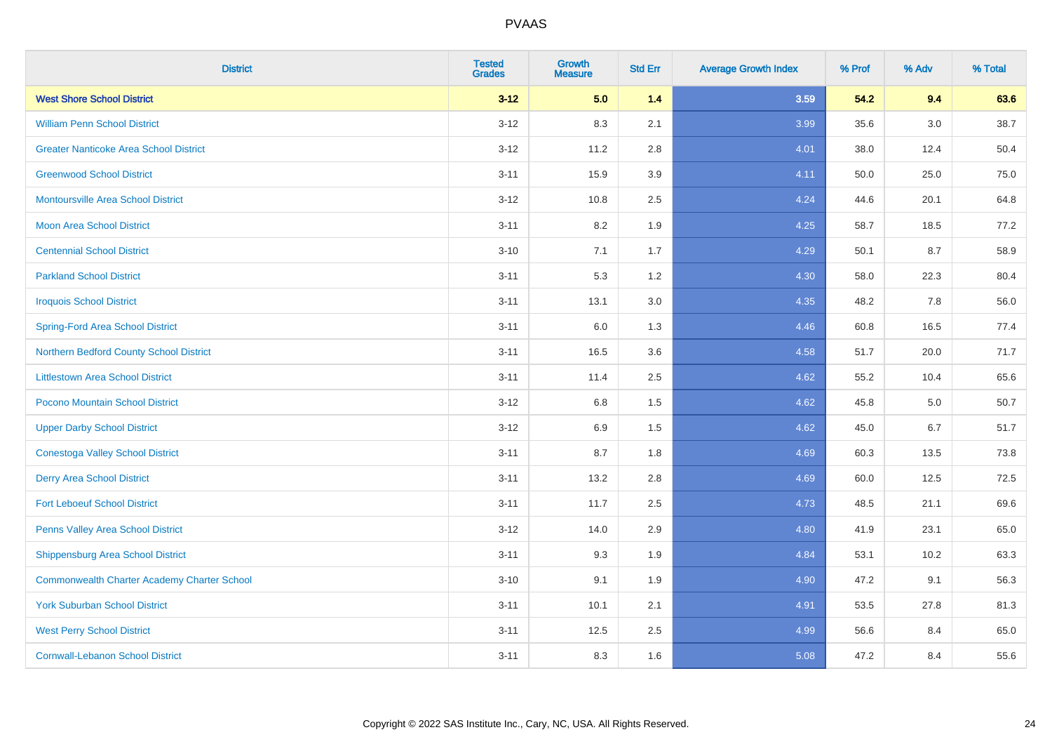| <b>District</b>                                    | <b>Tested</b><br><b>Grades</b> | Growth<br><b>Measure</b> | <b>Std Err</b> | <b>Average Growth Index</b> | % Prof | % Adv | % Total |
|----------------------------------------------------|--------------------------------|--------------------------|----------------|-----------------------------|--------|-------|---------|
| <b>West Shore School District</b>                  | $3 - 12$                       | 5.0                      | 1.4            | 3.59                        | 54.2   | 9.4   | 63.6    |
| <b>William Penn School District</b>                | $3 - 12$                       | 8.3                      | 2.1            | 3.99                        | 35.6   | 3.0   | 38.7    |
| <b>Greater Nanticoke Area School District</b>      | $3 - 12$                       | 11.2                     | 2.8            | 4.01                        | 38.0   | 12.4  | 50.4    |
| <b>Greenwood School District</b>                   | $3 - 11$                       | 15.9                     | 3.9            | 4.11                        | 50.0   | 25.0  | 75.0    |
| <b>Montoursville Area School District</b>          | $3 - 12$                       | 10.8                     | 2.5            | 4.24                        | 44.6   | 20.1  | 64.8    |
| <b>Moon Area School District</b>                   | $3 - 11$                       | 8.2                      | 1.9            | 4.25                        | 58.7   | 18.5  | 77.2    |
| <b>Centennial School District</b>                  | $3 - 10$                       | 7.1                      | 1.7            | 4.29                        | 50.1   | 8.7   | 58.9    |
| <b>Parkland School District</b>                    | $3 - 11$                       | 5.3                      | 1.2            | 4.30                        | 58.0   | 22.3  | 80.4    |
| <b>Iroquois School District</b>                    | $3 - 11$                       | 13.1                     | 3.0            | 4.35                        | 48.2   | 7.8   | 56.0    |
| <b>Spring-Ford Area School District</b>            | $3 - 11$                       | 6.0                      | 1.3            | 4.46                        | 60.8   | 16.5  | 77.4    |
| Northern Bedford County School District            | $3 - 11$                       | 16.5                     | 3.6            | 4.58                        | 51.7   | 20.0  | 71.7    |
| <b>Littlestown Area School District</b>            | $3 - 11$                       | 11.4                     | 2.5            | 4.62                        | 55.2   | 10.4  | 65.6    |
| Pocono Mountain School District                    | $3 - 12$                       | 6.8                      | 1.5            | 4.62                        | 45.8   | 5.0   | 50.7    |
| <b>Upper Darby School District</b>                 | $3 - 12$                       | 6.9                      | 1.5            | 4.62                        | 45.0   | 6.7   | 51.7    |
| <b>Conestoga Valley School District</b>            | $3 - 11$                       | 8.7                      | 1.8            | 4.69                        | 60.3   | 13.5  | 73.8    |
| <b>Derry Area School District</b>                  | $3 - 11$                       | 13.2                     | 2.8            | 4.69                        | 60.0   | 12.5  | 72.5    |
| <b>Fort Leboeuf School District</b>                | $3 - 11$                       | 11.7                     | 2.5            | 4.73                        | 48.5   | 21.1  | 69.6    |
| Penns Valley Area School District                  | $3 - 12$                       | 14.0                     | 2.9            | 4.80                        | 41.9   | 23.1  | 65.0    |
| <b>Shippensburg Area School District</b>           | $3 - 11$                       | 9.3                      | 1.9            | 4.84                        | 53.1   | 10.2  | 63.3    |
| <b>Commonwealth Charter Academy Charter School</b> | $3 - 10$                       | 9.1                      | 1.9            | 4.90                        | 47.2   | 9.1   | 56.3    |
| <b>York Suburban School District</b>               | $3 - 11$                       | 10.1                     | 2.1            | 4.91                        | 53.5   | 27.8  | 81.3    |
| <b>West Perry School District</b>                  | $3 - 11$                       | 12.5                     | 2.5            | 4.99                        | 56.6   | 8.4   | 65.0    |
| <b>Cornwall-Lebanon School District</b>            | $3 - 11$                       | 8.3                      | 1.6            | 5.08                        | 47.2   | 8.4   | 55.6    |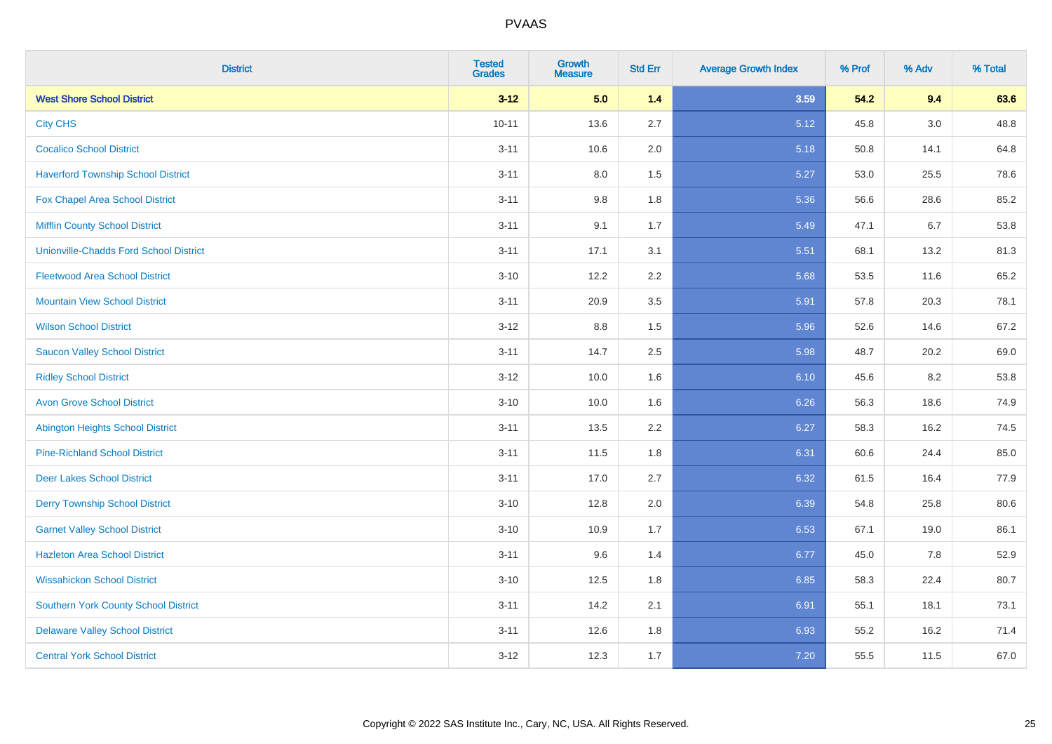| <b>District</b>                               | <b>Tested</b><br><b>Grades</b> | <b>Growth</b><br><b>Measure</b> | <b>Std Err</b> | <b>Average Growth Index</b> | % Prof | % Adv | % Total |
|-----------------------------------------------|--------------------------------|---------------------------------|----------------|-----------------------------|--------|-------|---------|
| <b>West Shore School District</b>             | $3 - 12$                       | 5.0                             | 1.4            | 3.59                        | 54.2   | 9.4   | 63.6    |
| <b>City CHS</b>                               | $10 - 11$                      | 13.6                            | 2.7            | 5.12                        | 45.8   | 3.0   | 48.8    |
| <b>Cocalico School District</b>               | $3 - 11$                       | 10.6                            | 2.0            | 5.18                        | 50.8   | 14.1  | 64.8    |
| <b>Haverford Township School District</b>     | $3 - 11$                       | $8.0\,$                         | 1.5            | 5.27                        | 53.0   | 25.5  | 78.6    |
| <b>Fox Chapel Area School District</b>        | $3 - 11$                       | 9.8                             | 1.8            | 5.36                        | 56.6   | 28.6  | 85.2    |
| <b>Mifflin County School District</b>         | $3 - 11$                       | 9.1                             | 1.7            | 5.49                        | 47.1   | 6.7   | 53.8    |
| <b>Unionville-Chadds Ford School District</b> | $3 - 11$                       | 17.1                            | 3.1            | 5.51                        | 68.1   | 13.2  | 81.3    |
| <b>Fleetwood Area School District</b>         | $3 - 10$                       | 12.2                            | 2.2            | 5.68                        | 53.5   | 11.6  | 65.2    |
| <b>Mountain View School District</b>          | $3 - 11$                       | 20.9                            | 3.5            | 5.91                        | 57.8   | 20.3  | 78.1    |
| <b>Wilson School District</b>                 | $3 - 12$                       | 8.8                             | 1.5            | 5.96                        | 52.6   | 14.6  | 67.2    |
| <b>Saucon Valley School District</b>          | $3 - 11$                       | 14.7                            | 2.5            | 5.98                        | 48.7   | 20.2  | 69.0    |
| <b>Ridley School District</b>                 | $3 - 12$                       | 10.0                            | 1.6            | 6.10                        | 45.6   | 8.2   | 53.8    |
| <b>Avon Grove School District</b>             | $3 - 10$                       | 10.0                            | 1.6            | 6.26                        | 56.3   | 18.6  | 74.9    |
| <b>Abington Heights School District</b>       | $3 - 11$                       | 13.5                            | 2.2            | 6.27                        | 58.3   | 16.2  | 74.5    |
| <b>Pine-Richland School District</b>          | $3 - 11$                       | 11.5                            | 1.8            | 6.31                        | 60.6   | 24.4  | 85.0    |
| <b>Deer Lakes School District</b>             | $3 - 11$                       | 17.0                            | 2.7            | 6.32                        | 61.5   | 16.4  | 77.9    |
| <b>Derry Township School District</b>         | $3 - 10$                       | 12.8                            | 2.0            | 6.39                        | 54.8   | 25.8  | 80.6    |
| <b>Garnet Valley School District</b>          | $3 - 10$                       | 10.9                            | 1.7            | 6.53                        | 67.1   | 19.0  | 86.1    |
| <b>Hazleton Area School District</b>          | $3 - 11$                       | 9.6                             | 1.4            | 6.77                        | 45.0   | 7.8   | 52.9    |
| <b>Wissahickon School District</b>            | $3 - 10$                       | 12.5                            | 1.8            | 6.85                        | 58.3   | 22.4  | 80.7    |
| <b>Southern York County School District</b>   | $3 - 11$                       | 14.2                            | 2.1            | 6.91                        | 55.1   | 18.1  | 73.1    |
| <b>Delaware Valley School District</b>        | $3 - 11$                       | 12.6                            | 1.8            | 6.93                        | 55.2   | 16.2  | 71.4    |
| <b>Central York School District</b>           | $3 - 12$                       | 12.3                            | 1.7            | 7.20                        | 55.5   | 11.5  | 67.0    |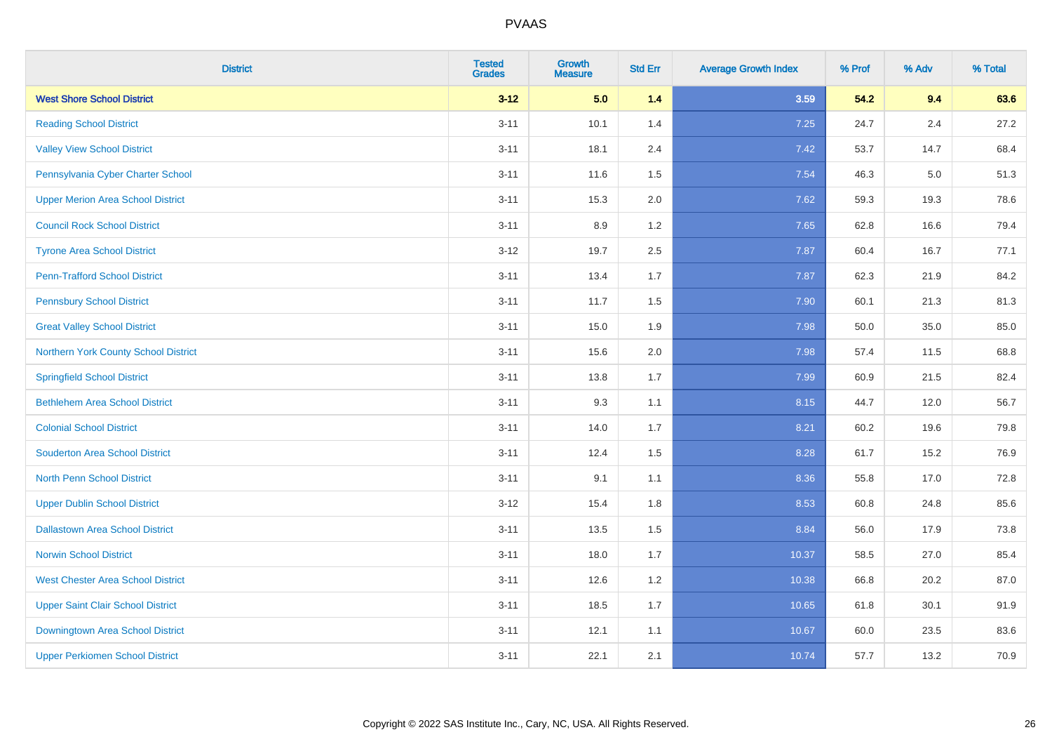| <b>District</b>                          | <b>Tested</b><br><b>Grades</b> | <b>Growth</b><br><b>Measure</b> | <b>Std Err</b> | <b>Average Growth Index</b> | % Prof | % Adv | % Total |
|------------------------------------------|--------------------------------|---------------------------------|----------------|-----------------------------|--------|-------|---------|
| <b>West Shore School District</b>        | $3 - 12$                       | 5.0                             | 1.4            | 3.59                        | 54.2   | 9.4   | 63.6    |
| <b>Reading School District</b>           | $3 - 11$                       | 10.1                            | 1.4            | 7.25                        | 24.7   | 2.4   | 27.2    |
| <b>Valley View School District</b>       | $3 - 11$                       | 18.1                            | 2.4            | 7.42                        | 53.7   | 14.7  | 68.4    |
| Pennsylvania Cyber Charter School        | $3 - 11$                       | 11.6                            | 1.5            | 7.54                        | 46.3   | 5.0   | 51.3    |
| <b>Upper Merion Area School District</b> | $3 - 11$                       | 15.3                            | 2.0            | 7.62                        | 59.3   | 19.3  | 78.6    |
| <b>Council Rock School District</b>      | $3 - 11$                       | 8.9                             | 1.2            | 7.65                        | 62.8   | 16.6  | 79.4    |
| <b>Tyrone Area School District</b>       | $3 - 12$                       | 19.7                            | 2.5            | 7.87                        | 60.4   | 16.7  | 77.1    |
| <b>Penn-Trafford School District</b>     | $3 - 11$                       | 13.4                            | 1.7            | 7.87                        | 62.3   | 21.9  | 84.2    |
| <b>Pennsbury School District</b>         | $3 - 11$                       | 11.7                            | 1.5            | 7.90                        | 60.1   | 21.3  | 81.3    |
| <b>Great Valley School District</b>      | $3 - 11$                       | 15.0                            | 1.9            | 7.98                        | 50.0   | 35.0  | 85.0    |
| Northern York County School District     | $3 - 11$                       | 15.6                            | 2.0            | 7.98                        | 57.4   | 11.5  | 68.8    |
| <b>Springfield School District</b>       | $3 - 11$                       | 13.8                            | 1.7            | 7.99                        | 60.9   | 21.5  | 82.4    |
| <b>Bethlehem Area School District</b>    | $3 - 11$                       | 9.3                             | 1.1            | 8.15                        | 44.7   | 12.0  | 56.7    |
| <b>Colonial School District</b>          | $3 - 11$                       | 14.0                            | 1.7            | 8.21                        | 60.2   | 19.6  | 79.8    |
| <b>Souderton Area School District</b>    | $3 - 11$                       | 12.4                            | 1.5            | 8.28                        | 61.7   | 15.2  | 76.9    |
| <b>North Penn School District</b>        | $3 - 11$                       | 9.1                             | 1.1            | 8.36                        | 55.8   | 17.0  | 72.8    |
| <b>Upper Dublin School District</b>      | $3 - 12$                       | 15.4                            | 1.8            | 8.53                        | 60.8   | 24.8  | 85.6    |
| <b>Dallastown Area School District</b>   | $3 - 11$                       | 13.5                            | 1.5            | 8.84                        | 56.0   | 17.9  | 73.8    |
| <b>Norwin School District</b>            | $3 - 11$                       | 18.0                            | 1.7            | 10.37                       | 58.5   | 27.0  | 85.4    |
| <b>West Chester Area School District</b> | $3 - 11$                       | 12.6                            | 1.2            | 10.38                       | 66.8   | 20.2  | 87.0    |
| <b>Upper Saint Clair School District</b> | $3 - 11$                       | 18.5                            | 1.7            | 10.65                       | 61.8   | 30.1  | 91.9    |
| Downingtown Area School District         | $3 - 11$                       | 12.1                            | 1.1            | 10.67                       | 60.0   | 23.5  | 83.6    |
| <b>Upper Perkiomen School District</b>   | $3 - 11$                       | 22.1                            | 2.1            | 10.74                       | 57.7   | 13.2  | 70.9    |